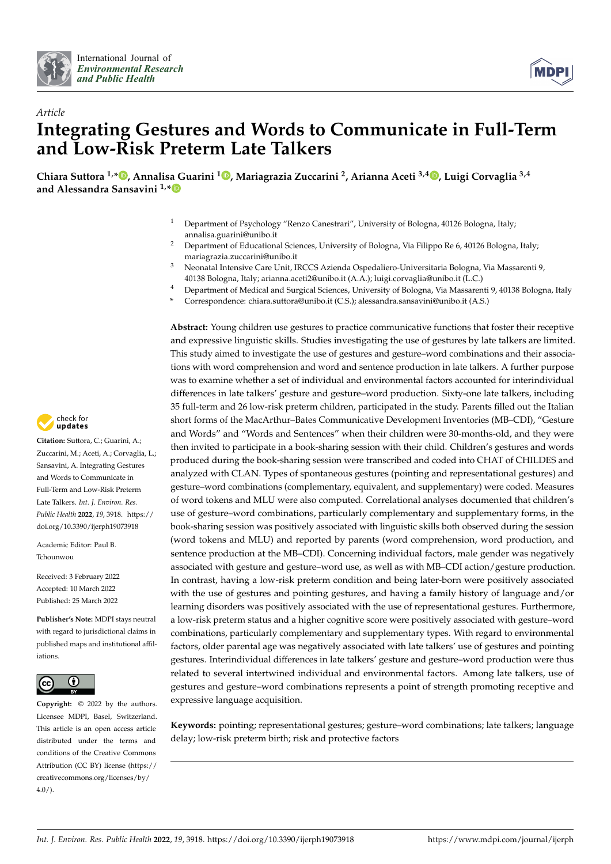



# *Article* **Integrating Gestures and Words to Communicate in Full-Term and Low-Risk Preterm Late Talkers**

**Chiara Suttora 1,\* [,](https://orcid.org/0000-0001-9967-1899) Annalisa Guarini <sup>1</sup> [,](https://orcid.org/0000-0002-3739-2162) Mariagrazia Zuccarini <sup>2</sup> , Arianna Aceti 3,4 [,](https://orcid.org/0000-0001-9274-985X) Luigi Corvaglia 3,4 and Alessandra Sansavini 1,[\\*](https://orcid.org/0000-0002-1991-9864)**

- <sup>1</sup> Department of Psychology "Renzo Canestrari", University of Bologna, 40126 Bologna, Italy; annalisa.guarini@unibo.it
- <sup>2</sup> Department of Educational Sciences, University of Bologna, Via Filippo Re 6, 40126 Bologna, Italy; mariagrazia.zuccarini@unibo.it
- <sup>3</sup> Neonatal Intensive Care Unit, IRCCS Azienda Ospedaliero-Universitaria Bologna, Via Massarenti 9, 40138 Bologna, Italy; arianna.aceti2@unibo.it (A.A.); luigi.corvaglia@unibo.it (L.C.)
- <sup>4</sup> Department of Medical and Surgical Sciences, University of Bologna, Via Massarenti 9, 40138 Bologna, Italy
- **\*** Correspondence: chiara.suttora@unibo.it (C.S.); alessandra.sansavini@unibo.it (A.S.)

**Abstract:** Young children use gestures to practice communicative functions that foster their receptive and expressive linguistic skills. Studies investigating the use of gestures by late talkers are limited. This study aimed to investigate the use of gestures and gesture–word combinations and their associations with word comprehension and word and sentence production in late talkers. A further purpose was to examine whether a set of individual and environmental factors accounted for interindividual differences in late talkers' gesture and gesture–word production. Sixty-one late talkers, including 35 full-term and 26 low-risk preterm children, participated in the study. Parents filled out the Italian short forms of the MacArthur–Bates Communicative Development Inventories (MB–CDI), "Gesture and Words" and "Words and Sentences" when their children were 30-months-old, and they were then invited to participate in a book-sharing session with their child. Children's gestures and words produced during the book-sharing session were transcribed and coded into CHAT of CHILDES and analyzed with CLAN. Types of spontaneous gestures (pointing and representational gestures) and gesture–word combinations (complementary, equivalent, and supplementary) were coded. Measures of word tokens and MLU were also computed. Correlational analyses documented that children's use of gesture–word combinations, particularly complementary and supplementary forms, in the book-sharing session was positively associated with linguistic skills both observed during the session (word tokens and MLU) and reported by parents (word comprehension, word production, and sentence production at the MB–CDI). Concerning individual factors, male gender was negatively associated with gesture and gesture–word use, as well as with MB–CDI action/gesture production. In contrast, having a low-risk preterm condition and being later-born were positively associated with the use of gestures and pointing gestures, and having a family history of language and/or learning disorders was positively associated with the use of representational gestures. Furthermore, a low-risk preterm status and a higher cognitive score were positively associated with gesture–word combinations, particularly complementary and supplementary types. With regard to environmental factors, older parental age was negatively associated with late talkers' use of gestures and pointing gestures. Interindividual differences in late talkers' gesture and gesture–word production were thus related to several intertwined individual and environmental factors. Among late talkers, use of gestures and gesture–word combinations represents a point of strength promoting receptive and expressive language acquisition.

**Keywords:** pointing; representational gestures; gesture–word combinations; late talkers; language delay; low-risk preterm birth; risk and protective factors



**Citation:** Suttora, C.; Guarini, A.; Zuccarini, M.; Aceti, A.; Corvaglia, L.; Sansavini, A. Integrating Gestures and Words to Communicate in Full-Term and Low-Risk Preterm Late Talkers. *Int. J. Environ. Res. Public Health* **2022**, *19*, 3918. [https://](https://doi.org/10.3390/ijerph19073918) [doi.org/10.3390/ijerph19073918](https://doi.org/10.3390/ijerph19073918)

Academic Editor: Paul B. Tchounwou

Received: 3 February 2022 Accepted: 10 March 2022 Published: 25 March 2022

**Publisher's Note:** MDPI stays neutral with regard to jurisdictional claims in published maps and institutional affiliations.



**Copyright:** © 2022 by the authors. Licensee MDPI, Basel, Switzerland. This article is an open access article distributed under the terms and conditions of the Creative Commons Attribution (CC BY) license [\(https://](https://creativecommons.org/licenses/by/4.0/) [creativecommons.org/licenses/by/](https://creativecommons.org/licenses/by/4.0/)  $4.0/$ ).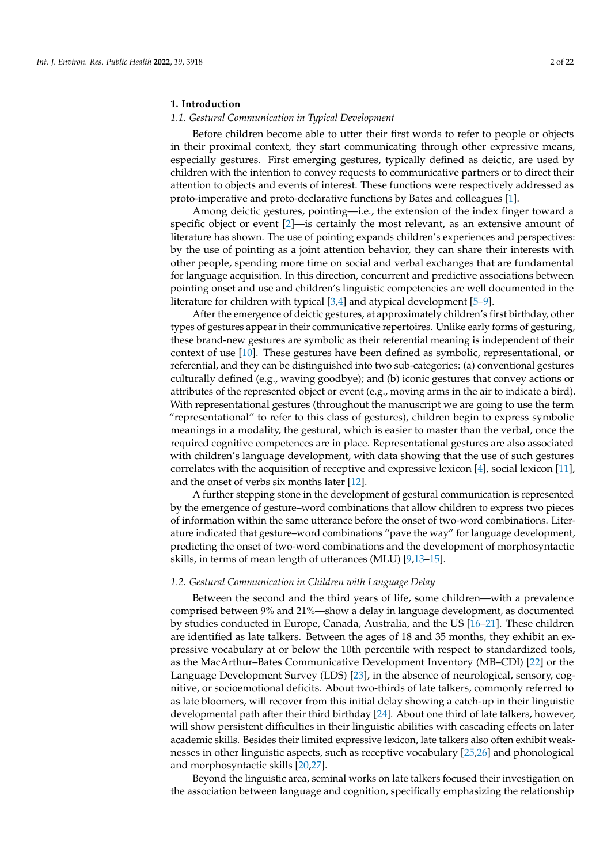# **1. Introduction**

## *1.1. Gestural Communication in Typical Development*

Before children become able to utter their first words to refer to people or objects in their proximal context, they start communicating through other expressive means, especially gestures. First emerging gestures, typically defined as deictic, are used by children with the intention to convey requests to communicative partners or to direct their attention to objects and events of interest. These functions were respectively addressed as proto-imperative and proto-declarative functions by Bates and colleagues [\[1\]](#page-18-0).

Among deictic gestures, pointing—i.e., the extension of the index finger toward a specific object or event [\[2\]](#page-18-1)—is certainly the most relevant, as an extensive amount of literature has shown. The use of pointing expands children's experiences and perspectives: by the use of pointing as a joint attention behavior, they can share their interests with other people, spending more time on social and verbal exchanges that are fundamental for language acquisition. In this direction, concurrent and predictive associations between pointing onset and use and children's linguistic competencies are well documented in the literature for children with typical [\[3,](#page-18-2)[4\]](#page-18-3) and atypical development [\[5](#page-18-4)[–9\]](#page-18-5).

After the emergence of deictic gestures, at approximately children's first birthday, other types of gestures appear in their communicative repertoires. Unlike early forms of gesturing, these brand-new gestures are symbolic as their referential meaning is independent of their context of use [\[10\]](#page-18-6). These gestures have been defined as symbolic, representational, or referential, and they can be distinguished into two sub-categories: (a) conventional gestures culturally defined (e.g., waving goodbye); and (b) iconic gestures that convey actions or attributes of the represented object or event (e.g., moving arms in the air to indicate a bird). With representational gestures (throughout the manuscript we are going to use the term "representational" to refer to this class of gestures), children begin to express symbolic meanings in a modality, the gestural, which is easier to master than the verbal, once the required cognitive competences are in place. Representational gestures are also associated with children's language development, with data showing that the use of such gestures correlates with the acquisition of receptive and expressive lexicon [\[4\]](#page-18-3), social lexicon [\[11\]](#page-18-7), and the onset of verbs six months later [\[12\]](#page-18-8).

A further stepping stone in the development of gestural communication is represented by the emergence of gesture–word combinations that allow children to express two pieces of information within the same utterance before the onset of two-word combinations. Literature indicated that gesture–word combinations "pave the way" for language development, predicting the onset of two-word combinations and the development of morphosyntactic skills, in terms of mean length of utterances (MLU) [\[9,](#page-18-5)[13–](#page-18-9)[15\]](#page-18-10).

### *1.2. Gestural Communication in Children with Language Delay*

Between the second and the third years of life, some children—with a prevalence comprised between 9% and 21%—show a delay in language development, as documented by studies conducted in Europe, Canada, Australia, and the US [\[16](#page-18-11)[–21\]](#page-18-12). These children are identified as late talkers. Between the ages of 18 and 35 months, they exhibit an expressive vocabulary at or below the 10th percentile with respect to standardized tools, as the MacArthur–Bates Communicative Development Inventory (MB–CDI) [\[22\]](#page-18-13) or the Language Development Survey (LDS) [\[23\]](#page-18-14), in the absence of neurological, sensory, cognitive, or socioemotional deficits. About two-thirds of late talkers, commonly referred to as late bloomers, will recover from this initial delay showing a catch-up in their linguistic developmental path after their third birthday [\[24\]](#page-18-15). About one third of late talkers, however, will show persistent difficulties in their linguistic abilities with cascading effects on later academic skills. Besides their limited expressive lexicon, late talkers also often exhibit weaknesses in other linguistic aspects, such as receptive vocabulary [\[25](#page-18-16)[,26\]](#page-18-17) and phonological and morphosyntactic skills [\[20](#page-18-18)[,27\]](#page-18-19).

Beyond the linguistic area, seminal works on late talkers focused their investigation on the association between language and cognition, specifically emphasizing the relationship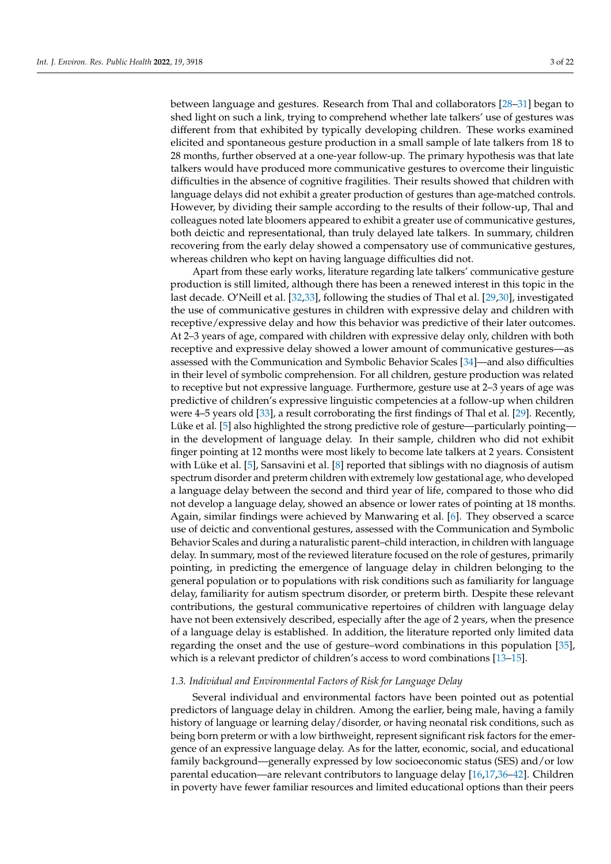between language and gestures. Research from Thal and collaborators [\[28](#page-18-20)[–31\]](#page-19-0) began to shed light on such a link, trying to comprehend whether late talkers' use of gestures was different from that exhibited by typically developing children. These works examined elicited and spontaneous gesture production in a small sample of late talkers from 18 to 28 months, further observed at a one-year follow-up. The primary hypothesis was that late talkers would have produced more communicative gestures to overcome their linguistic difficulties in the absence of cognitive fragilities. Their results showed that children with language delays did not exhibit a greater production of gestures than age-matched controls. However, by dividing their sample according to the results of their follow-up, Thal and colleagues noted late bloomers appeared to exhibit a greater use of communicative gestures, both deictic and representational, than truly delayed late talkers. In summary, children recovering from the early delay showed a compensatory use of communicative gestures, whereas children who kept on having language difficulties did not.

Apart from these early works, literature regarding late talkers' communicative gesture production is still limited, although there has been a renewed interest in this topic in the last decade. O'Neill et al. [\[32](#page-19-1)[,33\]](#page-19-2), following the studies of Thal et al. [\[29](#page-19-3)[,30\]](#page-19-4), investigated the use of communicative gestures in children with expressive delay and children with receptive/expressive delay and how this behavior was predictive of their later outcomes. At 2–3 years of age, compared with children with expressive delay only, children with both receptive and expressive delay showed a lower amount of communicative gestures—as assessed with the Communication and Symbolic Behavior Scales [\[34\]](#page-19-5)—and also difficulties in their level of symbolic comprehension. For all children, gesture production was related to receptive but not expressive language. Furthermore, gesture use at 2–3 years of age was predictive of children's expressive linguistic competencies at a follow-up when children were 4–5 years old [\[33\]](#page-19-2), a result corroborating the first findings of Thal et al. [\[29\]](#page-19-3). Recently, Lüke et al. [\[5\]](#page-18-4) also highlighted the strong predictive role of gesture—particularly pointing in the development of language delay. In their sample, children who did not exhibit finger pointing at 12 months were most likely to become late talkers at 2 years. Consistent with Lüke et al. [\[5\]](#page-18-4), Sansavini et al. [\[8\]](#page-18-21) reported that siblings with no diagnosis of autism spectrum disorder and preterm children with extremely low gestational age, who developed a language delay between the second and third year of life, compared to those who did not develop a language delay, showed an absence or lower rates of pointing at 18 months. Again, similar findings were achieved by Manwaring et al. [\[6\]](#page-18-22). They observed a scarce use of deictic and conventional gestures, assessed with the Communication and Symbolic Behavior Scales and during a naturalistic parent–child interaction, in children with language delay. In summary, most of the reviewed literature focused on the role of gestures, primarily pointing, in predicting the emergence of language delay in children belonging to the general population or to populations with risk conditions such as familiarity for language delay, familiarity for autism spectrum disorder, or preterm birth. Despite these relevant contributions, the gestural communicative repertoires of children with language delay have not been extensively described, especially after the age of 2 years, when the presence of a language delay is established. In addition, the literature reported only limited data regarding the onset and the use of gesture–word combinations in this population [\[35\]](#page-19-6), which is a relevant predictor of children's access to word combinations [\[13](#page-18-9)[–15\]](#page-18-10).

#### *1.3. Individual and Environmental Factors of Risk for Language Delay*

Several individual and environmental factors have been pointed out as potential predictors of language delay in children. Among the earlier, being male, having a family history of language or learning delay/disorder, or having neonatal risk conditions, such as being born preterm or with a low birthweight, represent significant risk factors for the emergence of an expressive language delay. As for the latter, economic, social, and educational family background—generally expressed by low socioeconomic status (SES) and/or low parental education—are relevant contributors to language delay [\[16,](#page-18-11)[17,](#page-18-23)[36](#page-19-7)[–42\]](#page-19-8). Children in poverty have fewer familiar resources and limited educational options than their peers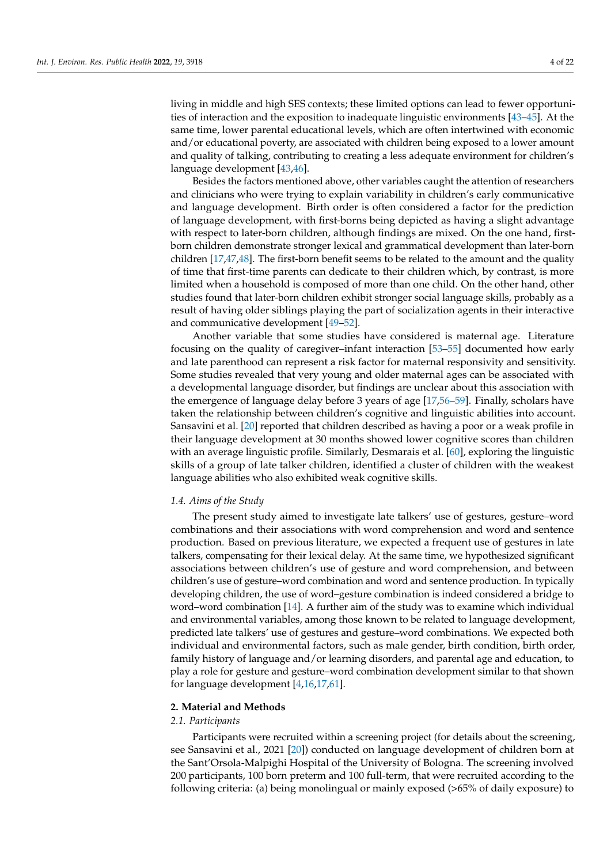living in middle and high SES contexts; these limited options can lead to fewer opportunities of interaction and the exposition to inadequate linguistic environments [\[43](#page-19-9)[–45\]](#page-19-10). At the same time, lower parental educational levels, which are often intertwined with economic and/or educational poverty, are associated with children being exposed to a lower amount and quality of talking, contributing to creating a less adequate environment for children's language development [\[43](#page-19-9)[,46\]](#page-19-11).

Besides the factors mentioned above, other variables caught the attention of researchers and clinicians who were trying to explain variability in children's early communicative and language development. Birth order is often considered a factor for the prediction of language development, with first-borns being depicted as having a slight advantage with respect to later-born children, although findings are mixed. On the one hand, firstborn children demonstrate stronger lexical and grammatical development than later-born children [\[17](#page-18-23)[,47](#page-19-12)[,48\]](#page-19-13). The first-born benefit seems to be related to the amount and the quality of time that first-time parents can dedicate to their children which, by contrast, is more limited when a household is composed of more than one child. On the other hand, other studies found that later-born children exhibit stronger social language skills, probably as a result of having older siblings playing the part of socialization agents in their interactive and communicative development [\[49](#page-19-14)[–52\]](#page-19-15).

Another variable that some studies have considered is maternal age. Literature focusing on the quality of caregiver–infant interaction [\[53](#page-19-16)[–55\]](#page-19-17) documented how early and late parenthood can represent a risk factor for maternal responsivity and sensitivity. Some studies revealed that very young and older maternal ages can be associated with a developmental language disorder, but findings are unclear about this association with the emergence of language delay before 3 years of age [\[17](#page-18-23)[,56](#page-19-18)[–59\]](#page-20-0). Finally, scholars have taken the relationship between children's cognitive and linguistic abilities into account. Sansavini et al. [\[20\]](#page-18-18) reported that children described as having a poor or a weak profile in their language development at 30 months showed lower cognitive scores than children with an average linguistic profile. Similarly, Desmarais et al. [\[60\]](#page-20-1), exploring the linguistic skills of a group of late talker children, identified a cluster of children with the weakest language abilities who also exhibited weak cognitive skills.

#### *1.4. Aims of the Study*

The present study aimed to investigate late talkers' use of gestures, gesture–word combinations and their associations with word comprehension and word and sentence production. Based on previous literature, we expected a frequent use of gestures in late talkers, compensating for their lexical delay. At the same time, we hypothesized significant associations between children's use of gesture and word comprehension, and between children's use of gesture–word combination and word and sentence production. In typically developing children, the use of word–gesture combination is indeed considered a bridge to word–word combination [\[14\]](#page-18-24). A further aim of the study was to examine which individual and environmental variables, among those known to be related to language development, predicted late talkers' use of gestures and gesture–word combinations. We expected both individual and environmental factors, such as male gender, birth condition, birth order, family history of language and/or learning disorders, and parental age and education, to play a role for gesture and gesture–word combination development similar to that shown for language development [\[4,](#page-18-3)[16,](#page-18-11)[17](#page-18-23)[,61\]](#page-20-2).

#### **2. Material and Methods**

#### *2.1. Participants*

Participants were recruited within a screening project (for details about the screening, see Sansavini et al., 2021 [\[20\]](#page-18-18)) conducted on language development of children born at the Sant'Orsola-Malpighi Hospital of the University of Bologna. The screening involved 200 participants, 100 born preterm and 100 full-term, that were recruited according to the following criteria: (a) being monolingual or mainly exposed (>65% of daily exposure) to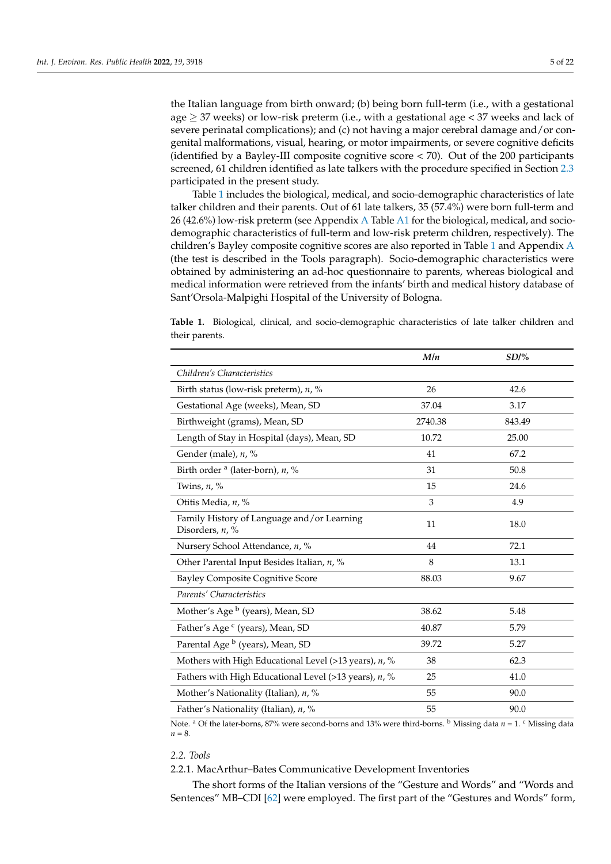the Italian language from birth onward; (b) being born full-term (i.e., with a gestational age  $\geq$  37 weeks) or low-risk preterm (i.e., with a gestational age < 37 weeks and lack of severe perinatal complications); and (c) not having a major cerebral damage and/or congenital malformations, visual, hearing, or motor impairments, or severe cognitive deficits (identified by a Bayley-III composite cognitive score < 70). Out of the 200 participants screened, 61 children identified as late talkers with the procedure specified in Section [2.3](#page-5-0) participated in the present study.

Table [1](#page-4-0) includes the biological, medical, and socio-demographic characteristics of late talker children and their parents. Out of 61 late talkers, 35 (57.4%) were born full-term and 26 (42.6%) low-risk preterm (see Appendix [A](#page-15-0) Table [A1](#page-15-1) for the biological, medical, and sociodemographic characteristics of full-term and low-risk preterm children, respectively). The children's Bayley composite cognitive scores are also reported in Table [1](#page-4-0) and Appendix [A](#page-15-0) (the test is described in the Tools paragraph). Socio-demographic characteristics were obtained by administering an ad-hoc questionnaire to parents, whereas biological and medical information were retrieved from the infants' birth and medical history database of Sant'Orsola-Malpighi Hospital of the University of Bologna.

<span id="page-4-0"></span>**Table 1.** Biological, clinical, and socio-demographic characteristics of late talker children and their parents.

|                                                                  | M/n     | SD/%   |  |
|------------------------------------------------------------------|---------|--------|--|
| Children's Characteristics                                       |         |        |  |
| Birth status (low-risk preterm), n, %                            | 26      | 42.6   |  |
| Gestational Age (weeks), Mean, SD                                | 37.04   | 3.17   |  |
| Birthweight (grams), Mean, SD                                    | 2740.38 | 843.49 |  |
| Length of Stay in Hospital (days), Mean, SD                      | 10.72   | 25.00  |  |
| Gender (male), n, %                                              | 41      | 67.2   |  |
| Birth order $a$ (later-born), $n, \%$                            | 31      | 50.8   |  |
| Twins, $n, \%$                                                   | 15      | 24.6   |  |
| Otitis Media, n, %                                               | 3       | 4.9    |  |
| Family History of Language and/or Learning<br>Disorders, $n$ , % | 11      | 18.0   |  |
| Nursery School Attendance, n, %                                  | 44      | 72.1   |  |
| Other Parental Input Besides Italian, n, %                       | 8       | 13.1   |  |
| <b>Bayley Composite Cognitive Score</b>                          | 88.03   | 9.67   |  |
| Parents' Characteristics                                         |         |        |  |
| Mother's Age <sup>b</sup> (years), Mean, SD                      | 38.62   | 5.48   |  |
| Father's Age <sup>c</sup> (years), Mean, SD                      | 40.87   | 5.79   |  |
| Parental Age <sup>b</sup> (years), Mean, SD                      | 39.72   | 5.27   |  |
| Mothers with High Educational Level (>13 years), n, %            | 38      | 62.3   |  |
| Fathers with High Educational Level (>13 years), $n$ , %         | 25      | 41.0   |  |
| Mother's Nationality (Italian), n, %                             | 55      | 90.0   |  |
| Father's Nationality (Italian), n, %                             | 55      | 90.0   |  |

Note. <sup>a</sup> Of the later-borns, 87% were second-borns and 13% were third-borns. <sup>b</sup> Missing data *n* = 1. <sup>c</sup> Missing data *n* = 8.

## *2.2. Tools*

# 2.2.1. MacArthur–Bates Communicative Development Inventories

The short forms of the Italian versions of the "Gesture and Words" and "Words and Sentences" MB–CDI [\[62\]](#page-20-3) were employed. The first part of the "Gestures and Words" form,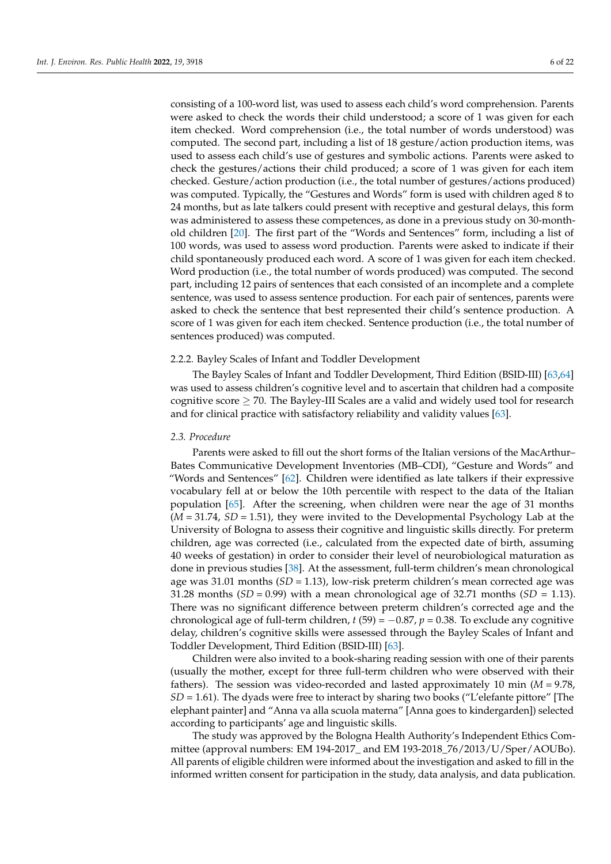consisting of a 100-word list, was used to assess each child's word comprehension. Parents were asked to check the words their child understood; a score of 1 was given for each item checked. Word comprehension (i.e., the total number of words understood) was computed. The second part, including a list of 18 gesture/action production items, was used to assess each child's use of gestures and symbolic actions. Parents were asked to check the gestures/actions their child produced; a score of 1 was given for each item checked. Gesture/action production (i.e., the total number of gestures/actions produced) was computed. Typically, the "Gestures and Words" form is used with children aged 8 to 24 months, but as late talkers could present with receptive and gestural delays, this form was administered to assess these competences, as done in a previous study on 30-monthold children [\[20\]](#page-18-18). The first part of the "Words and Sentences" form, including a list of 100 words, was used to assess word production. Parents were asked to indicate if their child spontaneously produced each word. A score of 1 was given for each item checked. Word production (i.e., the total number of words produced) was computed. The second part, including 12 pairs of sentences that each consisted of an incomplete and a complete sentence, was used to assess sentence production. For each pair of sentences, parents were asked to check the sentence that best represented their child's sentence production. A score of 1 was given for each item checked. Sentence production (i.e., the total number of sentences produced) was computed.

#### 2.2.2. Bayley Scales of Infant and Toddler Development

The Bayley Scales of Infant and Toddler Development, Third Edition (BSID-III) [\[63,](#page-20-4)[64\]](#page-20-5) was used to assess children's cognitive level and to ascertain that children had a composite cognitive score  $\geq$  70. The Bayley-III Scales are a valid and widely used tool for research and for clinical practice with satisfactory reliability and validity values [\[63\]](#page-20-4).

#### <span id="page-5-0"></span>*2.3. Procedure*

Parents were asked to fill out the short forms of the Italian versions of the MacArthur– Bates Communicative Development Inventories (MB–CDI), "Gesture and Words" and "Words and Sentences"  $[62]$ . Children were identified as late talkers if their expressive vocabulary fell at or below the 10th percentile with respect to the data of the Italian population [\[65\]](#page-20-6). After the screening, when children were near the age of 31 months (*M* = 31.74, *SD* = 1.51), they were invited to the Developmental Psychology Lab at the University of Bologna to assess their cognitive and linguistic skills directly. For preterm children, age was corrected (i.e., calculated from the expected date of birth, assuming 40 weeks of gestation) in order to consider their level of neurobiological maturation as done in previous studies [\[38\]](#page-19-19). At the assessment, full-term children's mean chronological age was 31.01 months (*SD* = 1.13), low-risk preterm children's mean corrected age was 31.28 months  $(SD = 0.99)$  with a mean chronological age of 32.71 months  $(SD = 1.13)$ . There was no significant difference between preterm children's corrected age and the chronological age of full-term children,  $t$  (59) =  $-0.87$ ,  $p$  = 0.38. To exclude any cognitive delay, children's cognitive skills were assessed through the Bayley Scales of Infant and Toddler Development, Third Edition (BSID-III) [\[63\]](#page-20-4).

Children were also invited to a book-sharing reading session with one of their parents (usually the mother, except for three full-term children who were observed with their fathers). The session was video-recorded and lasted approximately 10 min (*M* = 9.78, *SD* = 1.61). The dyads were free to interact by sharing two books ("L'elefante pittore" [The elephant painter] and "Anna va alla scuola materna" [Anna goes to kindergarden]) selected according to participants' age and linguistic skills.

The study was approved by the Bologna Health Authority's Independent Ethics Committee (approval numbers: EM 194-2017\_ and EM 193-2018\_76/2013/U/Sper/AOUBo). All parents of eligible children were informed about the investigation and asked to fill in the informed written consent for participation in the study, data analysis, and data publication.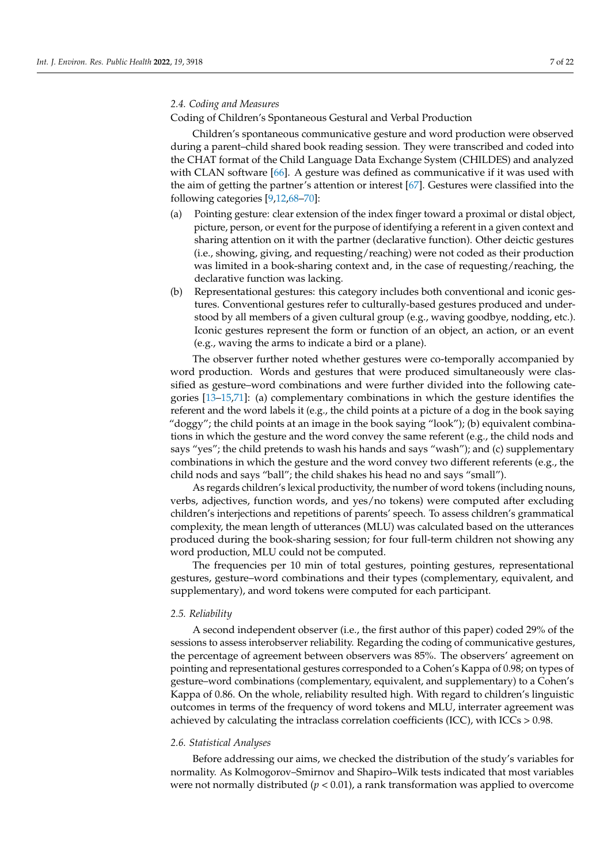## *2.4. Coding and Measures*

Coding of Children's Spontaneous Gestural and Verbal Production

Children's spontaneous communicative gesture and word production were observed during a parent–child shared book reading session. They were transcribed and coded into the CHAT format of the Child Language Data Exchange System (CHILDES) and analyzed with CLAN software [\[66\]](#page-20-7). A gesture was defined as communicative if it was used with the aim of getting the partner's attention or interest [\[67\]](#page-20-8). Gestures were classified into the following categories [\[9](#page-18-5)[,12](#page-18-8)[,68](#page-20-9)[–70\]](#page-20-10):

- (a) Pointing gesture: clear extension of the index finger toward a proximal or distal object, picture, person, or event for the purpose of identifying a referent in a given context and sharing attention on it with the partner (declarative function). Other deictic gestures (i.e., showing, giving, and requesting/reaching) were not coded as their production was limited in a book-sharing context and, in the case of requesting/reaching, the declarative function was lacking.
- (b) Representational gestures: this category includes both conventional and iconic gestures. Conventional gestures refer to culturally-based gestures produced and understood by all members of a given cultural group (e.g., waving goodbye, nodding, etc.). Iconic gestures represent the form or function of an object, an action, or an event (e.g., waving the arms to indicate a bird or a plane).

The observer further noted whether gestures were co-temporally accompanied by word production. Words and gestures that were produced simultaneously were classified as gesture–word combinations and were further divided into the following categories [\[13](#page-18-9)[–15](#page-18-10)[,71\]](#page-20-11): (a) complementary combinations in which the gesture identifies the referent and the word labels it (e.g., the child points at a picture of a dog in the book saying "doggy"; the child points at an image in the book saying "look"); (b) equivalent combinations in which the gesture and the word convey the same referent (e.g., the child nods and says "yes"; the child pretends to wash his hands and says "wash"); and (c) supplementary combinations in which the gesture and the word convey two different referents (e.g., the child nods and says "ball"; the child shakes his head no and says "small").

As regards children's lexical productivity, the number of word tokens (including nouns, verbs, adjectives, function words, and yes/no tokens) were computed after excluding children's interjections and repetitions of parents' speech. To assess children's grammatical complexity, the mean length of utterances (MLU) was calculated based on the utterances produced during the book-sharing session; for four full-term children not showing any word production, MLU could not be computed.

The frequencies per 10 min of total gestures, pointing gestures, representational gestures, gesture–word combinations and their types (complementary, equivalent, and supplementary), and word tokens were computed for each participant.

#### *2.5. Reliability*

A second independent observer (i.e., the first author of this paper) coded 29% of the sessions to assess interobserver reliability. Regarding the coding of communicative gestures, the percentage of agreement between observers was 85%. The observers' agreement on pointing and representational gestures corresponded to a Cohen's Kappa of 0.98; on types of gesture–word combinations (complementary, equivalent, and supplementary) to a Cohen's Kappa of 0.86. On the whole, reliability resulted high. With regard to children's linguistic outcomes in terms of the frequency of word tokens and MLU, interrater agreement was achieved by calculating the intraclass correlation coefficients (ICC), with ICCs > 0.98.

#### *2.6. Statistical Analyses*

Before addressing our aims, we checked the distribution of the study's variables for normality. As Kolmogorov–Smirnov and Shapiro–Wilk tests indicated that most variables were not normally distributed ( $p < 0.01$ ), a rank transformation was applied to overcome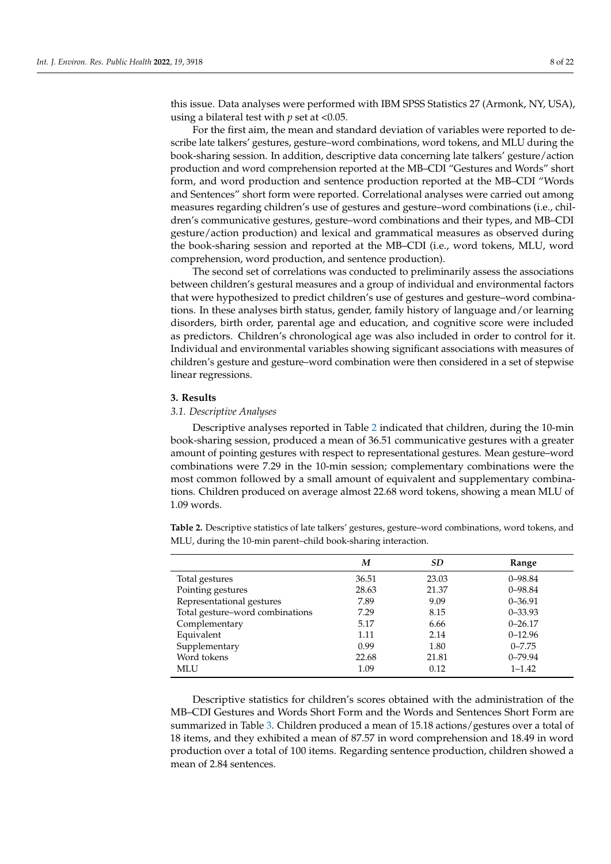this issue. Data analyses were performed with IBM SPSS Statistics 27 (Armonk, NY, USA), using a bilateral test with *p* set at <0.05.

For the first aim, the mean and standard deviation of variables were reported to describe late talkers' gestures, gesture–word combinations, word tokens, and MLU during the book-sharing session. In addition, descriptive data concerning late talkers' gesture/action production and word comprehension reported at the MB–CDI "Gestures and Words" short form, and word production and sentence production reported at the MB–CDI "Words and Sentences" short form were reported. Correlational analyses were carried out among measures regarding children's use of gestures and gesture–word combinations (i.e., children's communicative gestures, gesture–word combinations and their types, and MB–CDI gesture/action production) and lexical and grammatical measures as observed during the book-sharing session and reported at the MB–CDI (i.e., word tokens, MLU, word comprehension, word production, and sentence production).

The second set of correlations was conducted to preliminarily assess the associations between children's gestural measures and a group of individual and environmental factors that were hypothesized to predict children's use of gestures and gesture–word combinations. In these analyses birth status, gender, family history of language and/or learning disorders, birth order, parental age and education, and cognitive score were included as predictors. Children's chronological age was also included in order to control for it. Individual and environmental variables showing significant associations with measures of children's gesture and gesture–word combination were then considered in a set of stepwise linear regressions.

# **3. Results**

## *3.1. Descriptive Analyses*

Descriptive analyses reported in Table [2](#page-7-0) indicated that children, during the 10-min book-sharing session, produced a mean of 36.51 communicative gestures with a greater amount of pointing gestures with respect to representational gestures. Mean gesture–word combinations were 7.29 in the 10-min session; complementary combinations were the most common followed by a small amount of equivalent and supplementary combinations. Children produced on average almost 22.68 word tokens, showing a mean MLU of 1.09 words.

*M SD* **Range** Total gestures 36.51 23.03 0–98.84 Pointing gestures 28.63 21.37 0–98.84 Representational gestures 7.89 9.09 0–36.91 Total gesture–word combinations  $7.29$  8.15 0–33.93 Complementary 5.17 6.66 0–26.17 Equivalent 1.11 2.14 0–12.96 Supplementary 0.99 1.80 0–7.75 Word tokens 22.68 21.81 0–79.94<br>MLU 1.09 0.12 1–1.42 MLU 1.09 0.12 1–1.42

<span id="page-7-0"></span>**Table 2.** Descriptive statistics of late talkers' gestures, gesture–word combinations, word tokens, and MLU, during the 10-min parent–child book-sharing interaction.

Descriptive statistics for children's scores obtained with the administration of the MB–CDI Gestures and Words Short Form and the Words and Sentences Short Form are summarized in Table [3.](#page-8-0) Children produced a mean of 15.18 actions/gestures over a total of 18 items, and they exhibited a mean of 87.57 in word comprehension and 18.49 in word production over a total of 100 items. Regarding sentence production, children showed a mean of 2.84 sentences.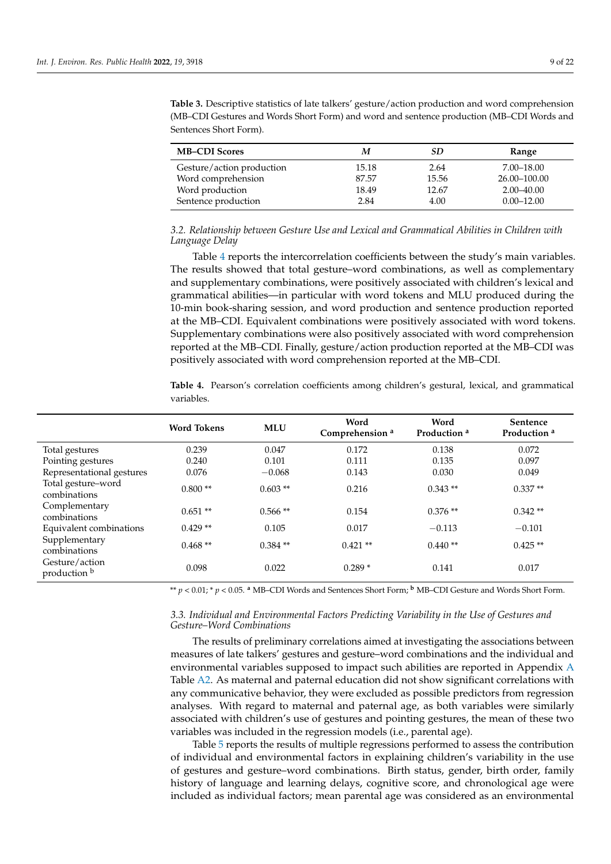| <b>MB-CDI Scores</b>      | М     | SD    | Range          |
|---------------------------|-------|-------|----------------|
| Gesture/action production | 15.18 | 2.64  | 7.00–18.00     |
| Word comprehension        | 87.57 | 15.56 | 26.00-100.00   |
| Word production           | 18.49 | 12.67 | $2.00 - 40.00$ |
| Sentence production       | 2.84  | 4.00  | $0.00 - 12.00$ |

<span id="page-8-0"></span>**Table 3.** Descriptive statistics of late talkers' gesture/action production and word comprehension (MB–CDI Gestures and Words Short Form) and word and sentence production (MB–CDI Words and Sentences Short Form).

*3.2. Relationship between Gesture Use and Lexical and Grammatical Abilities in Children with Language Delay*

Table [4](#page-8-1) reports the intercorrelation coefficients between the study's main variables. The results showed that total gesture–word combinations, as well as complementary and supplementary combinations, were positively associated with children's lexical and grammatical abilities—in particular with word tokens and MLU produced during the 10-min book-sharing session, and word production and sentence production reported at the MB–CDI. Equivalent combinations were positively associated with word tokens. Supplementary combinations were also positively associated with word comprehension reported at the MB–CDI. Finally, gesture/action production reported at the MB–CDI was positively associated with word comprehension reported at the MB–CDI.

<span id="page-8-1"></span>**Table 4.** Pearson's correlation coefficients among children's gestural, lexical, and grammatical variables.

|                                    | <b>Word Tokens</b> | <b>MLU</b> | Word<br>Comprehension <sup>a</sup> | Word<br>Production <sup>a</sup> | <b>Sentence</b><br>Production <sup>a</sup> |
|------------------------------------|--------------------|------------|------------------------------------|---------------------------------|--------------------------------------------|
| Total gestures                     | 0.239              | 0.047      | 0.172                              | 0.138                           | 0.072                                      |
| Pointing gestures                  | 0.240              | 0.101      | 0.111                              | 0.135                           | 0.097                                      |
| Representational gestures          | 0.076              | $-0.068$   | 0.143                              | 0.030                           | 0.049                                      |
| Total gesture-word<br>combinations | $0.800**$          | $0.603**$  | 0.216                              | $0.343**$                       | $0.337**$                                  |
| Complementary<br>combinations      | $0.651**$          | $0.566**$  | 0.154                              | $0.376**$                       | $0.342**$                                  |
| Equivalent combinations            | $0.429**$          | 0.105      | 0.017                              | $-0.113$                        | $-0.101$                                   |
| Supplementary<br>combinations      | $0.468**$          | $0.384**$  | $0.421**$                          | $0.440**$                       | $0.425**$                                  |
| Gesture/action<br>production b     | 0.098              | 0.022      | $0.289*$                           | 0.141                           | 0.017                                      |

\*\* *p <* 0.01; \* *p <* 0.05. **<sup>a</sup>** MB–CDI Words and Sentences Short Form; **<sup>b</sup>** MB–CDI Gesture and Words Short Form.

## *3.3. Individual and Environmental Factors Predicting Variability in the Use of Gestures and Gesture–Word Combinations*

The results of preliminary correlations aimed at investigating the associations between measures of late talkers' gestures and gesture–word combinations and the individual and environmental variables supposed to impact such abilities are reported in Appendix [A](#page-15-0) Table [A2.](#page-17-0) As maternal and paternal education did not show significant correlations with any communicative behavior, they were excluded as possible predictors from regression analyses. With regard to maternal and paternal age, as both variables were similarly associated with children's use of gestures and pointing gestures, the mean of these two variables was included in the regression models (i.e., parental age).

Table [5](#page-9-0) reports the results of multiple regressions performed to assess the contribution of individual and environmental factors in explaining children's variability in the use of gestures and gesture–word combinations. Birth status, gender, birth order, family history of language and learning delays, cognitive score, and chronological age were included as individual factors; mean parental age was considered as an environmental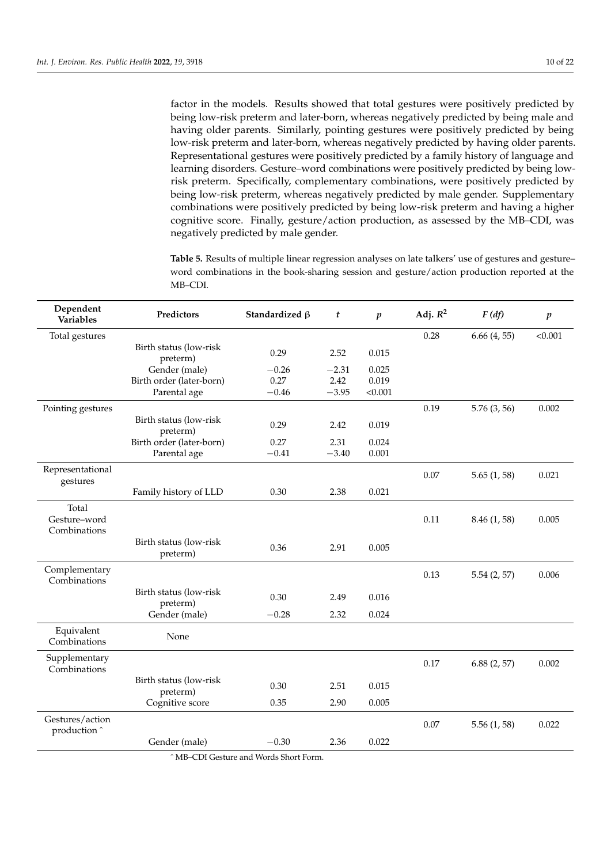factor in the models. Results showed that total gestures were positively predicted by being low-risk preterm and later-born, whereas negatively predicted by being male and having older parents. Similarly, pointing gestures were positively predicted by being low-risk preterm and later-born, whereas negatively predicted by having older parents. Representational gestures were positively predicted by a family history of language and learning disorders. Gesture–word combinations were positively predicted by being lowrisk preterm. Specifically, complementary combinations, were positively predicted by being low-risk preterm, whereas negatively predicted by male gender. Supplementary combinations were positively predicted by being low-risk preterm and having a higher cognitive score. Finally, gesture/action production, as assessed by the MB–CDI, was negatively predicted by male gender.

<span id="page-9-0"></span>**Table 5.** Results of multiple linear regression analyses on late talkers' use of gestures and gesture– word combinations in the book-sharing session and gesture/action production reported at the MB–CDI.

| Dependent<br><b>Variables</b>         | Predictors                         | Standardized $\beta$ | t       | $\boldsymbol{p}$ | Adj. $R^2$ | F(df)        | $\boldsymbol{p}$ |
|---------------------------------------|------------------------------------|----------------------|---------|------------------|------------|--------------|------------------|
| Total gestures                        |                                    |                      |         |                  | 0.28       | 6.66(4, 55)  | < 0.001          |
|                                       | Birth status (low-risk<br>preterm) | 0.29                 | 2.52    | 0.015            |            |              |                  |
|                                       | Gender (male)                      | $-0.26$              | $-2.31$ | 0.025            |            |              |                  |
|                                       | Birth order (later-born)           | 0.27                 | 2.42    | 0.019            |            |              |                  |
|                                       | Parental age                       | $-0.46$              | $-3.95$ | < 0.001          |            |              |                  |
| Pointing gestures                     |                                    |                      |         |                  | 0.19       | 5.76(3, 56)  | 0.002            |
|                                       | Birth status (low-risk<br>preterm) | 0.29                 | 2.42    | 0.019            |            |              |                  |
|                                       | Birth order (later-born)           | 0.27                 | 2.31    | 0.024            |            |              |                  |
|                                       | Parental age                       | $-0.41$              | $-3.40$ | 0.001            |            |              |                  |
| Representational<br>gestures          |                                    |                      |         |                  | 0.07       | 5.65(1, 58)  | 0.021            |
|                                       | Family history of LLD              | 0.30                 | 2.38    | 0.021            |            |              |                  |
| Total<br>Gesture-word<br>Combinations |                                    |                      |         |                  | 0.11       | 8.46 (1, 58) | 0.005            |
|                                       | Birth status (low-risk<br>preterm) | 0.36                 | 2.91    | 0.005            |            |              |                  |
| Complementary<br>Combinations         |                                    |                      |         |                  | 0.13       | 5.54(2, 57)  | 0.006            |
|                                       | Birth status (low-risk<br>preterm) | 0.30                 | 2.49    | 0.016            |            |              |                  |
|                                       | Gender (male)                      | $-0.28$              | 2.32    | 0.024            |            |              |                  |
| Equivalent<br>Combinations            | None                               |                      |         |                  |            |              |                  |
| Supplementary<br>Combinations         |                                    |                      |         |                  | 0.17       | 6.88(2, 57)  | 0.002            |
|                                       | Birth status (low-risk<br>preterm) | 0.30                 | 2.51    | 0.015            |            |              |                  |
|                                       | Cognitive score                    | 0.35                 | 2.90    | 0.005            |            |              |                  |
| Gestures/action<br>production ^       |                                    |                      |         |                  | 0.07       | 5.56(1, 58)  | 0.022            |
|                                       | Gender (male)                      | $-0.30$              | 2.36    | 0.022            |            |              |                  |

ˆ MB–CDI Gesture and Words Short Form.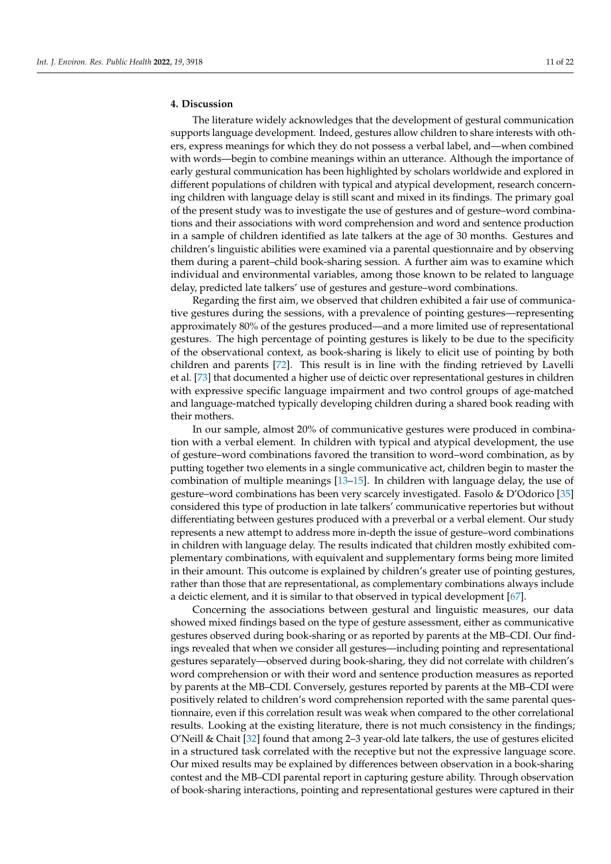# **4. Discussion**

The literature widely acknowledges that the development of gestural communication supports language development. Indeed, gestures allow children to share interests with others, express meanings for which they do not possess a verbal label, and—when combined with words—begin to combine meanings within an utterance. Although the importance of early gestural communication has been highlighted by scholars worldwide and explored in different populations of children with typical and atypical development, research concerning children with language delay is still scant and mixed in its findings. The primary goal of the present study was to investigate the use of gestures and of gesture–word combinations and their associations with word comprehension and word and sentence production in a sample of children identified as late talkers at the age of 30 months. Gestures and children's linguistic abilities were examined via a parental questionnaire and by observing them during a parent–child book-sharing session. A further aim was to examine which individual and environmental variables, among those known to be related to language delay, predicted late talkers' use of gestures and gesture–word combinations.

Regarding the first aim, we observed that children exhibited a fair use of communicative gestures during the sessions, with a prevalence of pointing gestures—representing approximately 80% of the gestures produced—and a more limited use of representational gestures. The high percentage of pointing gestures is likely to be due to the specificity of the observational context, as book-sharing is likely to elicit use of pointing by both children and parents [\[72\]](#page-20-12). This result is in line with the finding retrieved by Lavelli et al. [\[73\]](#page-20-13) that documented a higher use of deictic over representational gestures in children with expressive specific language impairment and two control groups of age-matched and language-matched typically developing children during a shared book reading with their mothers.

In our sample, almost 20% of communicative gestures were produced in combination with a verbal element. In children with typical and atypical development, the use of gesture–word combinations favored the transition to word–word combination, as by putting together two elements in a single communicative act, children begin to master the combination of multiple meanings [\[13](#page-18-9)[–15\]](#page-18-10). In children with language delay, the use of gesture–word combinations has been very scarcely investigated. Fasolo & D'Odorico [\[35\]](#page-19-6) considered this type of production in late talkers' communicative repertories but without differentiating between gestures produced with a preverbal or a verbal element. Our study represents a new attempt to address more in-depth the issue of gesture–word combinations in children with language delay. The results indicated that children mostly exhibited complementary combinations, with equivalent and supplementary forms being more limited in their amount. This outcome is explained by children's greater use of pointing gestures, rather than those that are representational, as complementary combinations always include a deictic element, and it is similar to that observed in typical development [\[67\]](#page-20-8).

Concerning the associations between gestural and linguistic measures, our data showed mixed findings based on the type of gesture assessment, either as communicative gestures observed during book-sharing or as reported by parents at the MB–CDI. Our findings revealed that when we consider all gestures—including pointing and representational gestures separately—observed during book-sharing, they did not correlate with children's word comprehension or with their word and sentence production measures as reported by parents at the MB–CDI. Conversely, gestures reported by parents at the MB–CDI were positively related to children's word comprehension reported with the same parental questionnaire, even if this correlation result was weak when compared to the other correlational results. Looking at the existing literature, there is not much consistency in the findings; O'Neill & Chait [\[32\]](#page-19-1) found that among 2–3 year-old late talkers, the use of gestures elicited in a structured task correlated with the receptive but not the expressive language score. Our mixed results may be explained by differences between observation in a book-sharing contest and the MB–CDI parental report in capturing gesture ability. Through observation of book-sharing interactions, pointing and representational gestures were captured in their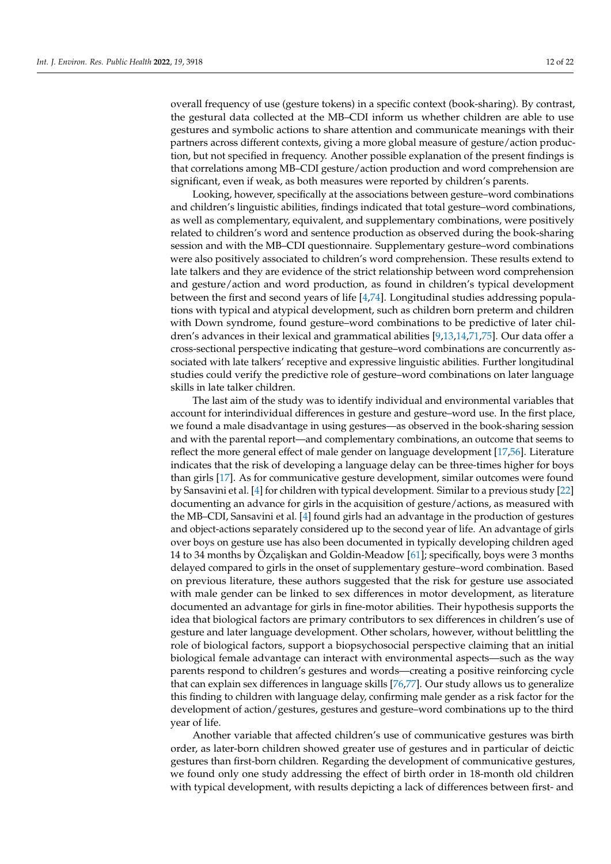overall frequency of use (gesture tokens) in a specific context (book-sharing). By contrast, the gestural data collected at the MB–CDI inform us whether children are able to use gestures and symbolic actions to share attention and communicate meanings with their partners across different contexts, giving a more global measure of gesture/action production, but not specified in frequency. Another possible explanation of the present findings is that correlations among MB–CDI gesture/action production and word comprehension are

significant, even if weak, as both measures were reported by children's parents. Looking, however, specifically at the associations between gesture–word combinations and children's linguistic abilities, findings indicated that total gesture–word combinations, as well as complementary, equivalent, and supplementary combinations, were positively related to children's word and sentence production as observed during the book-sharing session and with the MB–CDI questionnaire. Supplementary gesture–word combinations were also positively associated to children's word comprehension. These results extend to late talkers and they are evidence of the strict relationship between word comprehension and gesture/action and word production, as found in children's typical development between the first and second years of life [\[4](#page-18-3)[,74\]](#page-20-14). Longitudinal studies addressing populations with typical and atypical development, such as children born preterm and children with Down syndrome, found gesture–word combinations to be predictive of later children's advances in their lexical and grammatical abilities [\[9,](#page-18-5)[13,](#page-18-9)[14,](#page-18-24)[71,](#page-20-11)[75\]](#page-20-15). Our data offer a cross-sectional perspective indicating that gesture–word combinations are concurrently associated with late talkers' receptive and expressive linguistic abilities. Further longitudinal studies could verify the predictive role of gesture–word combinations on later language skills in late talker children.

The last aim of the study was to identify individual and environmental variables that account for interindividual differences in gesture and gesture–word use. In the first place, we found a male disadvantage in using gestures—as observed in the book-sharing session and with the parental report—and complementary combinations, an outcome that seems to reflect the more general effect of male gender on language development [\[17](#page-18-23)[,56\]](#page-19-18). Literature indicates that the risk of developing a language delay can be three-times higher for boys than girls [\[17\]](#page-18-23). As for communicative gesture development, similar outcomes were found by Sansavini et al. [\[4\]](#page-18-3) for children with typical development. Similar to a previous study [\[22\]](#page-18-13) documenting an advance for girls in the acquisition of gesture/actions, as measured with the MB–CDI, Sansavini et al. [\[4\]](#page-18-3) found girls had an advantage in the production of gestures and object-actions separately considered up to the second year of life. An advantage of girls over boys on gesture use has also been documented in typically developing children aged 14 to 34 months by Özçalişkan and Goldin-Meadow [\[61\]](#page-20-2); specifically, boys were 3 months delayed compared to girls in the onset of supplementary gesture–word combination. Based on previous literature, these authors suggested that the risk for gesture use associated with male gender can be linked to sex differences in motor development, as literature documented an advantage for girls in fine-motor abilities. Their hypothesis supports the idea that biological factors are primary contributors to sex differences in children's use of gesture and later language development. Other scholars, however, without belittling the role of biological factors, support a biopsychosocial perspective claiming that an initial biological female advantage can interact with environmental aspects—such as the way parents respond to children's gestures and words—creating a positive reinforcing cycle that can explain sex differences in language skills [\[76,](#page-20-16)[77\]](#page-20-17). Our study allows us to generalize this finding to children with language delay, confirming male gender as a risk factor for the development of action/gestures, gestures and gesture–word combinations up to the third year of life.

Another variable that affected children's use of communicative gestures was birth order, as later-born children showed greater use of gestures and in particular of deictic gestures than first-born children. Regarding the development of communicative gestures, we found only one study addressing the effect of birth order in 18-month old children with typical development, with results depicting a lack of differences between first- and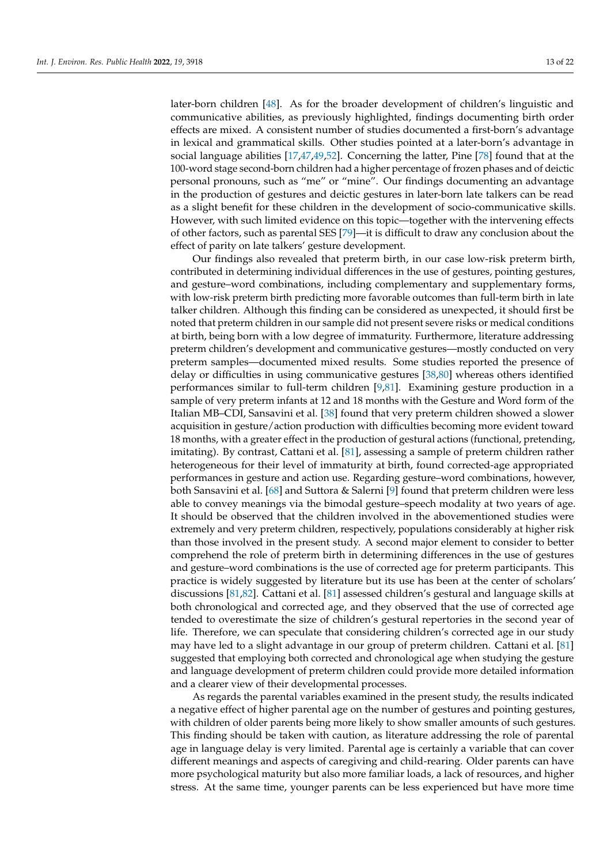later-born children [\[48\]](#page-19-13). As for the broader development of children's linguistic and communicative abilities, as previously highlighted, findings documenting birth order effects are mixed. A consistent number of studies documented a first-born's advantage in lexical and grammatical skills. Other studies pointed at a later-born's advantage in social language abilities [\[17,](#page-18-23)[47,](#page-19-12)[49,](#page-19-14)[52\]](#page-19-15). Concerning the latter, Pine [\[78\]](#page-20-18) found that at the 100-word stage second-born children had a higher percentage of frozen phases and of deictic personal pronouns, such as "me" or "mine". Our findings documenting an advantage in the production of gestures and deictic gestures in later-born late talkers can be read as a slight benefit for these children in the development of socio-communicative skills. However, with such limited evidence on this topic—together with the intervening effects of other factors, such as parental SES [\[79\]](#page-20-19)—it is difficult to draw any conclusion about the effect of parity on late talkers' gesture development.

Our findings also revealed that preterm birth, in our case low-risk preterm birth, contributed in determining individual differences in the use of gestures, pointing gestures, and gesture–word combinations, including complementary and supplementary forms, with low-risk preterm birth predicting more favorable outcomes than full-term birth in late talker children. Although this finding can be considered as unexpected, it should first be noted that preterm children in our sample did not present severe risks or medical conditions at birth, being born with a low degree of immaturity. Furthermore, literature addressing preterm children's development and communicative gestures—mostly conducted on very preterm samples—documented mixed results. Some studies reported the presence of delay or difficulties in using communicative gestures [\[38](#page-19-19)[,80\]](#page-20-20) whereas others identified performances similar to full-term children [\[9](#page-18-5)[,81\]](#page-20-21). Examining gesture production in a sample of very preterm infants at 12 and 18 months with the Gesture and Word form of the Italian MB–CDI, Sansavini et al. [\[38\]](#page-19-19) found that very preterm children showed a slower acquisition in gesture/action production with difficulties becoming more evident toward 18 months, with a greater effect in the production of gestural actions (functional, pretending, imitating). By contrast, Cattani et al. [\[81\]](#page-20-21), assessing a sample of preterm children rather heterogeneous for their level of immaturity at birth, found corrected-age appropriated performances in gesture and action use. Regarding gesture–word combinations, however, both Sansavini et al. [\[68\]](#page-20-9) and Suttora & Salerni [\[9\]](#page-18-5) found that preterm children were less able to convey meanings via the bimodal gesture–speech modality at two years of age. It should be observed that the children involved in the abovementioned studies were extremely and very preterm children, respectively, populations considerably at higher risk than those involved in the present study. A second major element to consider to better comprehend the role of preterm birth in determining differences in the use of gestures and gesture–word combinations is the use of corrected age for preterm participants. This practice is widely suggested by literature but its use has been at the center of scholars' discussions [\[81](#page-20-21)[,82\]](#page-20-22). Cattani et al. [\[81\]](#page-20-21) assessed children's gestural and language skills at both chronological and corrected age, and they observed that the use of corrected age tended to overestimate the size of children's gestural repertories in the second year of life. Therefore, we can speculate that considering children's corrected age in our study may have led to a slight advantage in our group of preterm children. Cattani et al. [\[81\]](#page-20-21) suggested that employing both corrected and chronological age when studying the gesture and language development of preterm children could provide more detailed information and a clearer view of their developmental processes.

As regards the parental variables examined in the present study, the results indicated a negative effect of higher parental age on the number of gestures and pointing gestures, with children of older parents being more likely to show smaller amounts of such gestures. This finding should be taken with caution, as literature addressing the role of parental age in language delay is very limited. Parental age is certainly a variable that can cover different meanings and aspects of caregiving and child-rearing. Older parents can have more psychological maturity but also more familiar loads, a lack of resources, and higher stress. At the same time, younger parents can be less experienced but have more time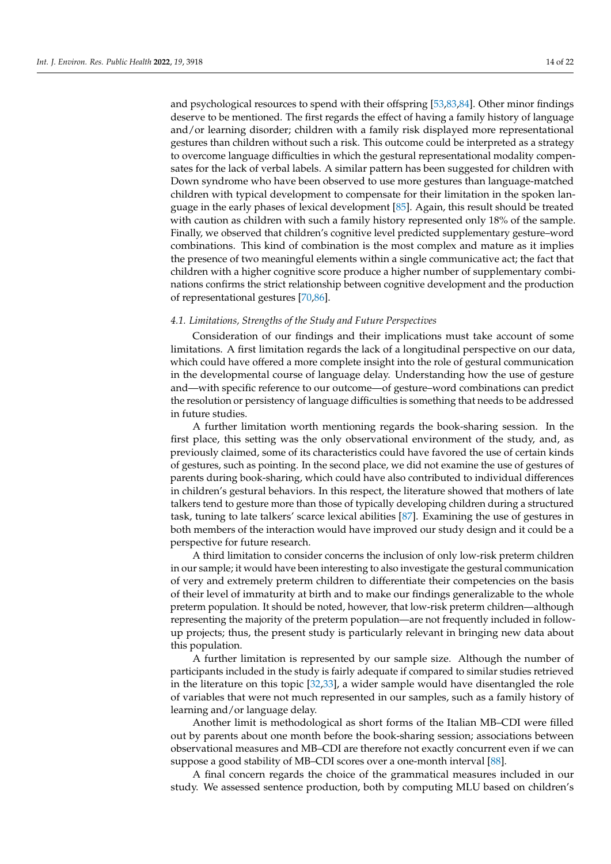and psychological resources to spend with their offspring [\[53,](#page-19-16)[83,](#page-20-23)[84\]](#page-20-24). Other minor findings deserve to be mentioned. The first regards the effect of having a family history of language and/or learning disorder; children with a family risk displayed more representational gestures than children without such a risk. This outcome could be interpreted as a strategy to overcome language difficulties in which the gestural representational modality compensates for the lack of verbal labels. A similar pattern has been suggested for children with Down syndrome who have been observed to use more gestures than language-matched children with typical development to compensate for their limitation in the spoken language in the early phases of lexical development [\[85\]](#page-20-25). Again, this result should be treated with caution as children with such a family history represented only 18% of the sample. Finally, we observed that children's cognitive level predicted supplementary gesture–word combinations. This kind of combination is the most complex and mature as it implies the presence of two meaningful elements within a single communicative act; the fact that children with a higher cognitive score produce a higher number of supplementary combinations confirms the strict relationship between cognitive development and the production of representational gestures [\[70](#page-20-10)[,86\]](#page-20-26).

# *4.1. Limitations, Strengths of the Study and Future Perspectives*

Consideration of our findings and their implications must take account of some limitations. A first limitation regards the lack of a longitudinal perspective on our data, which could have offered a more complete insight into the role of gestural communication in the developmental course of language delay. Understanding how the use of gesture and—with specific reference to our outcome—of gesture–word combinations can predict the resolution or persistency of language difficulties is something that needs to be addressed in future studies.

A further limitation worth mentioning regards the book-sharing session. In the first place, this setting was the only observational environment of the study, and, as previously claimed, some of its characteristics could have favored the use of certain kinds of gestures, such as pointing. In the second place, we did not examine the use of gestures of parents during book-sharing, which could have also contributed to individual differences in children's gestural behaviors. In this respect, the literature showed that mothers of late talkers tend to gesture more than those of typically developing children during a structured task, tuning to late talkers' scarce lexical abilities [\[87\]](#page-20-27). Examining the use of gestures in both members of the interaction would have improved our study design and it could be a perspective for future research.

A third limitation to consider concerns the inclusion of only low-risk preterm children in our sample; it would have been interesting to also investigate the gestural communication of very and extremely preterm children to differentiate their competencies on the basis of their level of immaturity at birth and to make our findings generalizable to the whole preterm population. It should be noted, however, that low-risk preterm children—although representing the majority of the preterm population—are not frequently included in followup projects; thus, the present study is particularly relevant in bringing new data about this population.

A further limitation is represented by our sample size. Although the number of participants included in the study is fairly adequate if compared to similar studies retrieved in the literature on this topic [\[32](#page-19-1)[,33\]](#page-19-2), a wider sample would have disentangled the role of variables that were not much represented in our samples, such as a family history of learning and/or language delay.

Another limit is methodological as short forms of the Italian MB–CDI were filled out by parents about one month before the book-sharing session; associations between observational measures and MB–CDI are therefore not exactly concurrent even if we can suppose a good stability of MB–CDI scores over a one-month interval [\[88\]](#page-21-0).

A final concern regards the choice of the grammatical measures included in our study. We assessed sentence production, both by computing MLU based on children's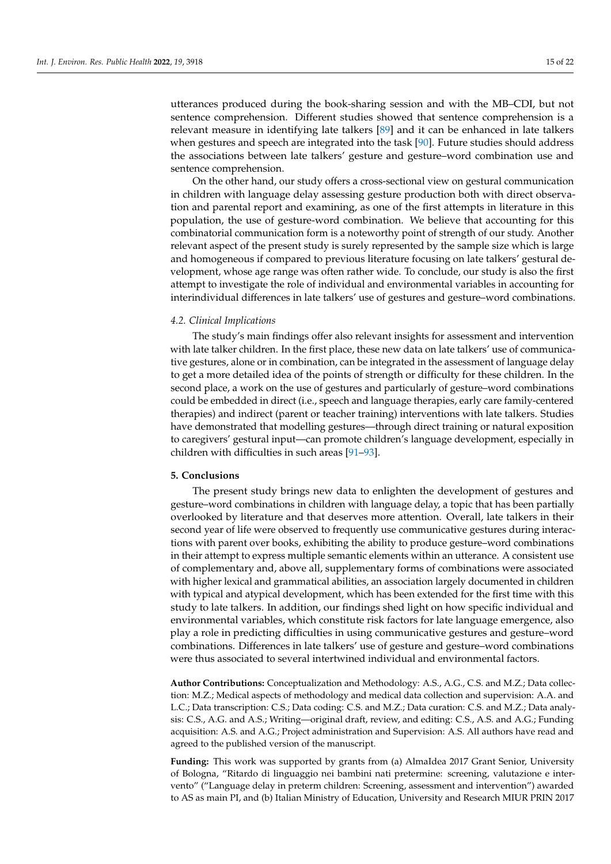utterances produced during the book-sharing session and with the MB–CDI, but not sentence comprehension. Different studies showed that sentence comprehension is a relevant measure in identifying late talkers [\[89\]](#page-21-1) and it can be enhanced in late talkers when gestures and speech are integrated into the task [\[90\]](#page-21-2). Future studies should address the associations between late talkers' gesture and gesture–word combination use and sentence comprehension.

On the other hand, our study offers a cross-sectional view on gestural communication in children with language delay assessing gesture production both with direct observation and parental report and examining, as one of the first attempts in literature in this population, the use of gesture-word combination. We believe that accounting for this combinatorial communication form is a noteworthy point of strength of our study. Another relevant aspect of the present study is surely represented by the sample size which is large and homogeneous if compared to previous literature focusing on late talkers' gestural development, whose age range was often rather wide. To conclude, our study is also the first attempt to investigate the role of individual and environmental variables in accounting for interindividual differences in late talkers' use of gestures and gesture–word combinations.

## *4.2. Clinical Implications*

The study's main findings offer also relevant insights for assessment and intervention with late talker children. In the first place, these new data on late talkers' use of communicative gestures, alone or in combination, can be integrated in the assessment of language delay to get a more detailed idea of the points of strength or difficulty for these children. In the second place, a work on the use of gestures and particularly of gesture–word combinations could be embedded in direct (i.e., speech and language therapies, early care family-centered therapies) and indirect (parent or teacher training) interventions with late talkers. Studies have demonstrated that modelling gestures—through direct training or natural exposition to caregivers' gestural input—can promote children's language development, especially in children with difficulties in such areas [\[91–](#page-21-3)[93\]](#page-21-4).

# **5. Conclusions**

The present study brings new data to enlighten the development of gestures and gesture–word combinations in children with language delay, a topic that has been partially overlooked by literature and that deserves more attention. Overall, late talkers in their second year of life were observed to frequently use communicative gestures during interactions with parent over books, exhibiting the ability to produce gesture–word combinations in their attempt to express multiple semantic elements within an utterance. A consistent use of complementary and, above all, supplementary forms of combinations were associated with higher lexical and grammatical abilities, an association largely documented in children with typical and atypical development, which has been extended for the first time with this study to late talkers. In addition, our findings shed light on how specific individual and environmental variables, which constitute risk factors for late language emergence, also play a role in predicting difficulties in using communicative gestures and gesture–word combinations. Differences in late talkers' use of gesture and gesture–word combinations were thus associated to several intertwined individual and environmental factors.

**Author Contributions:** Conceptualization and Methodology: A.S., A.G., C.S. and M.Z.; Data collection: M.Z.; Medical aspects of methodology and medical data collection and supervision: A.A. and L.C.; Data transcription: C.S.; Data coding: C.S. and M.Z.; Data curation: C.S. and M.Z.; Data analysis: C.S., A.G. and A.S.; Writing—original draft, review, and editing: C.S., A.S. and A.G.; Funding acquisition: A.S. and A.G.; Project administration and Supervision: A.S. All authors have read and agreed to the published version of the manuscript.

**Funding:** This work was supported by grants from (a) AlmaIdea 2017 Grant Senior, University of Bologna, "Ritardo di linguaggio nei bambini nati pretermine: screening, valutazione e intervento" ("Language delay in preterm children: Screening, assessment and intervention") awarded to AS as main PI, and (b) Italian Ministry of Education, University and Research MIUR PRIN 2017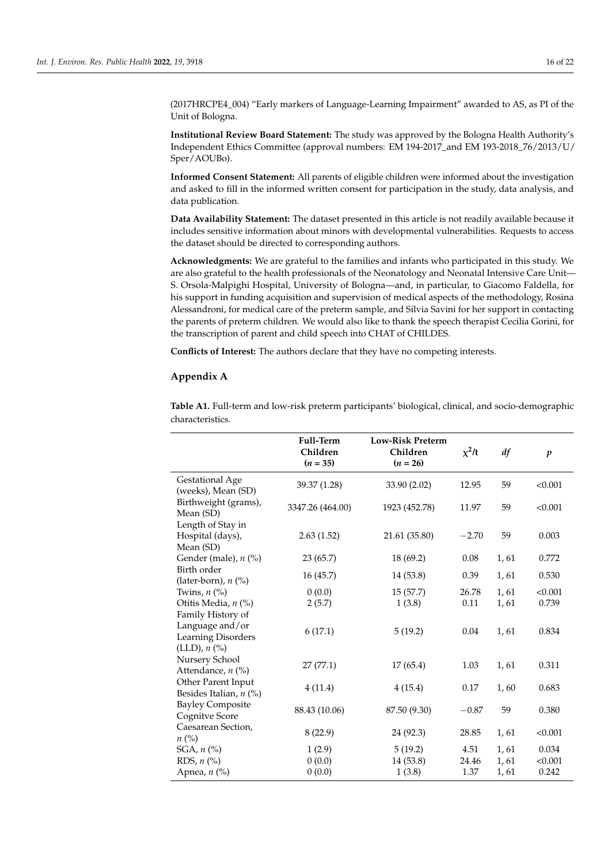(2017HRCPE4\_004) "Early markers of Language-Learning Impairment" awarded to AS, as PI of the Unit of Bologna.

**Institutional Review Board Statement:** The study was approved by the Bologna Health Authority's Independent Ethics Committee (approval numbers: EM 194-2017\_and EM 193-2018\_76/2013/U/ Sper/AOUBo).

**Informed Consent Statement:** All parents of eligible children were informed about the investigation and asked to fill in the informed written consent for participation in the study, data analysis, and data publication.

**Data Availability Statement:** The dataset presented in this article is not readily available because it includes sensitive information about minors with developmental vulnerabilities. Requests to access the dataset should be directed to corresponding authors.

**Acknowledgments:** We are grateful to the families and infants who participated in this study. We are also grateful to the health professionals of the Neonatology and Neonatal Intensive Care Unit— S. Orsola-Malpighi Hospital, University of Bologna—and, in particular, to Giacomo Faldella, for his support in funding acquisition and supervision of medical aspects of the methodology, Rosina Alessandroni, for medical care of the preterm sample, and Silvia Savini for her support in contacting the parents of preterm children. We would also like to thank the speech therapist Cecilia Gorini, for the transcription of parent and child speech into CHAT of CHILDES.

**Conflicts of Interest:** The authors declare that they have no competing interests.

# <span id="page-15-0"></span>**Appendix A**

|                                                                              | Full-Term<br>Children<br>$(n = 35)$ | <b>Low-Risk Preterm</b><br>Children<br>$(n = 26)$ | $x^2/t$ | df   | $\boldsymbol{p}$ |
|------------------------------------------------------------------------------|-------------------------------------|---------------------------------------------------|---------|------|------------------|
| <b>Gestational Age</b><br>(weeks), Mean (SD)                                 | 39.37 (1.28)                        | 33.90 (2.02)                                      | 12.95   | 59   | < 0.001          |
| Birthweight (grams),<br>Mean (SD)                                            | 3347.26 (464.00)                    | 1923 (452.78)                                     | 11.97   | 59   | < 0.001          |
| Length of Stay in<br>Hospital (days),<br>Mean (SD)                           | 2.63(1.52)                          | 21.61 (35.80)                                     | $-2.70$ | 59   | 0.003            |
| Gender (male), $n$ (%)                                                       | 23(65.7)                            | 18 (69.2)                                         | 0.08    | 1,61 | 0.772            |
| Birth order<br>(later-born), n (%)                                           | 16(45.7)                            | 14 (53.8)                                         | 0.39    | 1,61 | 0.530            |
| Twins, $n$ $\left(\% \right)$                                                | 0(0.0)                              | 15(57.7)                                          | 26.78   | 1,61 | < 0.001          |
| Otitis Media, n (%)                                                          | 2(5.7)                              | 1(3.8)                                            | 0.11    | 1,61 | 0.739            |
| Family History of<br>Language and/or<br>Learning Disorders<br>(LLD), $n$ (%) | 6(17.1)                             | 5(19.2)                                           | 0.04    | 1,61 | 0.834            |
| Nursery School<br>Attendance, $n$ (%)                                        | 27(77.1)                            | 17(65.4)                                          | 1.03    | 1,61 | 0.311            |
| Other Parent Input<br>Besides Italian, $n$ (%)                               | 4(11.4)                             | 4(15.4)                                           | 0.17    | 1,60 | 0.683            |
| <b>Bayley Composite</b><br>Cognitve Score                                    | 88.43 (10.06)                       | 87.50 (9.30)                                      | $-0.87$ | 59   | 0.380            |
| Caesarean Section,<br>$n\ (\%)$                                              | 8(22.9)                             | 24 (92.3)                                         | 28.85   | 1,61 | < 0.001          |
| SGA, $n$ $%$                                                                 | 1(2.9)                              | 5(19.2)                                           | 4.51    | 1,61 | 0.034            |
| RDS, $n$ $%$                                                                 | 0(0.0)                              | 14 (53.8)                                         | 24.46   | 1,61 | < 0.001          |
| Apnea, $n$ (%)                                                               | 0(0.0)                              | 1(3.8)                                            | 1.37    | 1,61 | 0.242            |

<span id="page-15-1"></span>**Table A1.** Full-term and low-risk preterm participants' biological, clinical, and socio-demographic characteristics.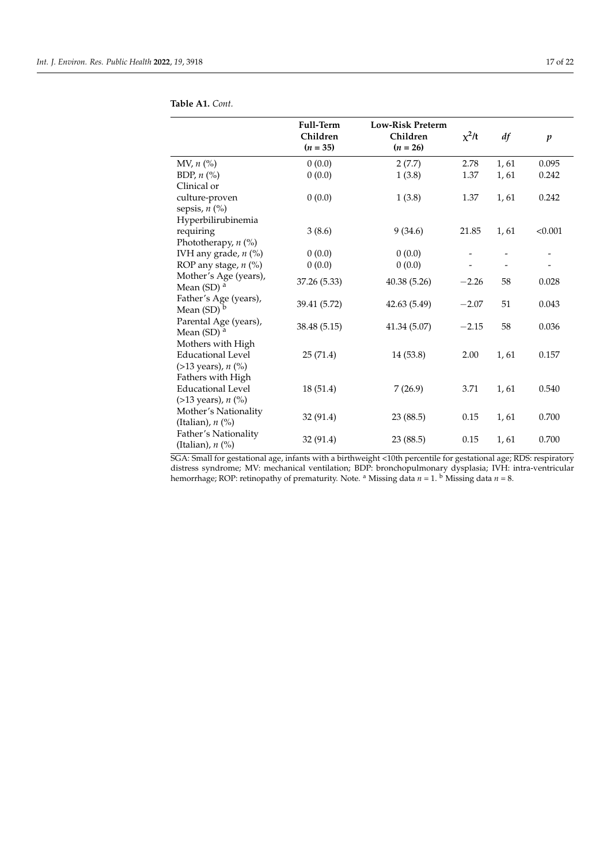| Full-Term<br>Children<br>$(n = 35)$ | <b>Low-Risk Preterm</b><br>Children<br>$(n = 26)$                                                    | $x^2/t$                                                                                              | df                                            | $\boldsymbol{p}$                       |
|-------------------------------------|------------------------------------------------------------------------------------------------------|------------------------------------------------------------------------------------------------------|-----------------------------------------------|----------------------------------------|
|                                     |                                                                                                      | 2.78                                                                                                 |                                               | 0.095                                  |
| 0(0.0)                              |                                                                                                      | 1.37                                                                                                 | 1,61                                          | 0.242                                  |
|                                     |                                                                                                      |                                                                                                      |                                               |                                        |
|                                     |                                                                                                      | 1.37                                                                                                 | 1,61                                          | 0.242                                  |
|                                     |                                                                                                      |                                                                                                      |                                               |                                        |
|                                     |                                                                                                      |                                                                                                      |                                               |                                        |
|                                     | 9(34.6)                                                                                              | 21.85                                                                                                | 1,61                                          | < 0.001                                |
|                                     |                                                                                                      |                                                                                                      |                                               |                                        |
| 0(0.0)                              | 0(0.0)                                                                                               |                                                                                                      |                                               |                                        |
| 0(0.0)                              | 0(0.0)                                                                                               |                                                                                                      |                                               |                                        |
|                                     |                                                                                                      |                                                                                                      |                                               | 0.028                                  |
|                                     |                                                                                                      |                                                                                                      |                                               |                                        |
|                                     |                                                                                                      |                                                                                                      |                                               | 0.043                                  |
|                                     |                                                                                                      |                                                                                                      |                                               |                                        |
|                                     |                                                                                                      |                                                                                                      |                                               | 0.036                                  |
|                                     |                                                                                                      |                                                                                                      |                                               |                                        |
|                                     |                                                                                                      |                                                                                                      |                                               |                                        |
| 25(71.4)                            | 14 (53.8)                                                                                            | 2.00                                                                                                 | 1,61                                          | 0.157                                  |
|                                     |                                                                                                      |                                                                                                      |                                               |                                        |
|                                     |                                                                                                      |                                                                                                      |                                               |                                        |
| 18 (51.4)                           | 7(26.9)                                                                                              | 3.71                                                                                                 | 1,61                                          | 0.540                                  |
|                                     |                                                                                                      |                                                                                                      |                                               |                                        |
|                                     |                                                                                                      |                                                                                                      |                                               | 0.700                                  |
|                                     |                                                                                                      |                                                                                                      |                                               |                                        |
|                                     |                                                                                                      |                                                                                                      |                                               | 0.700                                  |
|                                     |                                                                                                      |                                                                                                      |                                               |                                        |
|                                     | 0(0.0)<br>0(0.0)<br>3(8.6)<br>37.26 (5.33)<br>39.41 (5.72)<br>38.48 (5.15)<br>32 (91.4)<br>32 (91.4) | 2(7.7)<br>1(3.8)<br>1(3.8)<br>40.38 (5.26)<br>42.63 (5.49)<br>41.34 (5.07)<br>23 (88.5)<br>23 (88.5) | $-2.26$<br>$-2.07$<br>$-2.15$<br>0.15<br>0.15 | 1,61<br>58<br>51<br>58<br>1,61<br>1,61 |

| Table A1. Cont. |  |  |  |
|-----------------|--|--|--|
|-----------------|--|--|--|

 $\overline{a}$ 

 $\overline{a}$ 

SGA: Small for gestational age, infants with a birthweight <10th percentile for gestational age; RDS: respiratory distress syndrome; MV: mechanical ventilation; BDP: bronchopulmonary dysplasia; IVH: intra-ventricular hemorrhage; ROP: retinopathy of prematurity. Note. <sup>a</sup> Missing data *n* = 1. <sup>b</sup> Missing data *n* = 8.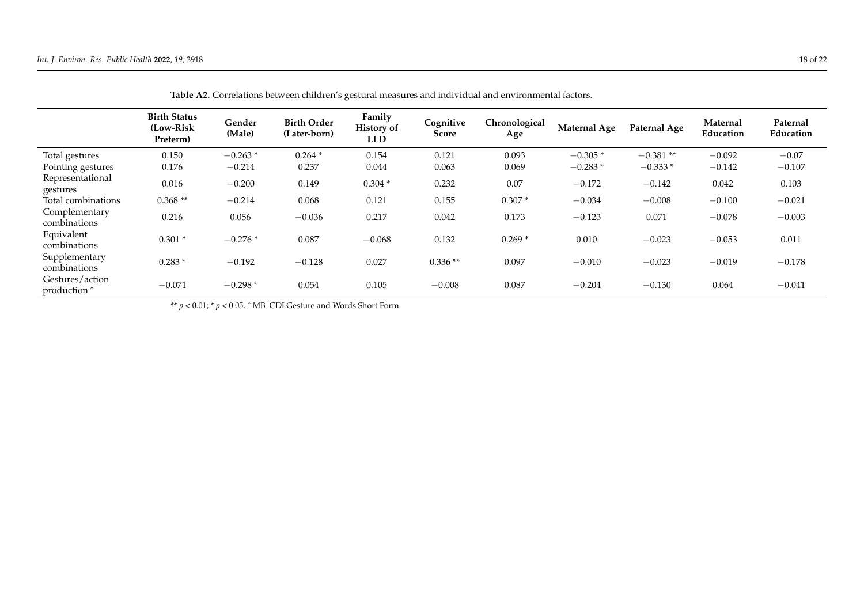|                               | <b>Birth Status</b><br>(Low-Risk<br>Preterm) | Gender<br>(Male) | <b>Birth Order</b><br>(Later-born) | Family<br><b>History of</b><br><b>LLD</b> | Cognitive<br>Score | Chronological<br>Age | <b>Maternal Age</b> | Paternal Age | Maternal<br>Education | Paternal<br>Education |
|-------------------------------|----------------------------------------------|------------------|------------------------------------|-------------------------------------------|--------------------|----------------------|---------------------|--------------|-----------------------|-----------------------|
| Total gestures                | 0.150                                        | $-0.263*$        | $0.264*$                           | 0.154                                     | 0.121              | 0.093                | $-0.305*$           | $-0.381**$   | $-0.092$              | $-0.07$               |
| Pointing gestures             | 0.176                                        | $-0.214$         | 0.237                              | 0.044                                     | 0.063              | 0.069                | $-0.283*$           | $-0.333*$    | $-0.142$              | $-0.107$              |
| Representational<br>gestures  | 0.016                                        | $-0.200$         | 0.149                              | $0.304*$                                  | 0.232              | 0.07                 | $-0.172$            | $-0.142$     | 0.042                 | 0.103                 |
| Total combinations            | $0.368**$                                    | $-0.214$         | 0.068                              | 0.121                                     | 0.155              | $0.307*$             | $-0.034$            | $-0.008$     | $-0.100$              | $-0.021$              |
| Complementary<br>combinations | 0.216                                        | 0.056            | $-0.036$                           | 0.217                                     | 0.042              | 0.173                | $-0.123$            | 0.071        | $-0.078$              | $-0.003$              |
| Equivalent<br>combinations    | $0.301*$                                     | $-0.276*$        | 0.087                              | $-0.068$                                  | 0.132              | $0.269*$             | 0.010               | $-0.023$     | $-0.053$              | 0.011                 |
| Supplementary<br>combinations | $0.283*$                                     | $-0.192$         | $-0.128$                           | 0.027                                     | $0.336**$          | 0.097                | $-0.010$            | $-0.023$     | $-0.019$              | $-0.178$              |
| Gestures/action<br>production | $-0.071$                                     | $-0.298*$        | 0.054                              | 0.105                                     | $-0.008$           | 0.087                | $-0.204$            | $-0.130$     | 0.064                 | $-0.041$              |

| Table A2. Correlations between children's gestural measures and individual and environmental factors. |  |
|-------------------------------------------------------------------------------------------------------|--|
|-------------------------------------------------------------------------------------------------------|--|

<span id="page-17-0"></span>\*\*  $p < 0.01$ ; \*  $p < 0.05$ . ^ MB–CDI Gesture and Words Short Form.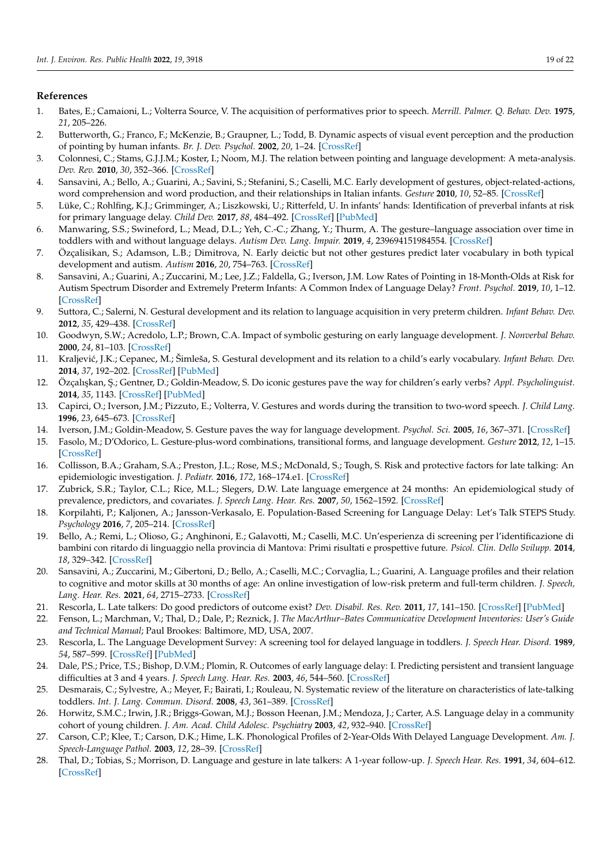# **References**

- <span id="page-18-0"></span>1. Bates, E.; Camaioni, L.; Volterra Source, V. The acquisition of performatives prior to speech. *Merrill. Palmer. Q. Behav. Dev.* **1975**, *21*, 205–226.
- <span id="page-18-1"></span>2. Butterworth, G.; Franco, F.; McKenzie, B.; Graupner, L.; Todd, B. Dynamic aspects of visual event perception and the production of pointing by human infants. *Br. J. Dev. Psychol.* **2002**, *20*, 1–24. [\[CrossRef\]](http://doi.org/10.1348/026151002166280)
- <span id="page-18-2"></span>3. Colonnesi, C.; Stams, G.J.J.M.; Koster, I.; Noom, M.J. The relation between pointing and language development: A meta-analysis. *Dev. Rev.* **2010**, *30*, 352–366. [\[CrossRef\]](http://doi.org/10.1016/j.dr.2010.10.001)
- <span id="page-18-3"></span>4. Sansavini, A.; Bello, A.; Guarini, A.; Savini, S.; Stefanini, S.; Caselli, M.C. Early development of gestures, object-related-actions, word comprehension and word production, and their relationships in Italian infants. *Gesture* **2010**, *10*, 52–85. [\[CrossRef\]](http://doi.org/10.1075/gest.10.1.04san)
- <span id="page-18-4"></span>5. Lüke, C.; Rohlfing, K.J.; Grimminger, A.; Liszkowski, U.; Ritterfeld, U. In infants' hands: Identification of preverbal infants at risk for primary language delay. *Child Dev.* **2017**, *88*, 484–492. [\[CrossRef\]](http://doi.org/10.1111/cdev.12610) [\[PubMed\]](http://www.ncbi.nlm.nih.gov/pubmed/27562074)
- <span id="page-18-22"></span>6. Manwaring, S.S.; Swineford, L.; Mead, D.L.; Yeh, C.-C.; Zhang, Y.; Thurm, A. The gesture–language association over time in toddlers with and without language delays. *Autism Dev. Lang. Impair.* **2019**, *4*, 239694151984554. [\[CrossRef\]](http://doi.org/10.1177/2396941519845545)
- 7. Özçalisikan, S.; Adamson, L.B.; Dimitrova, N. Early deictic but not other gestures predict later vocabulary in both typical development and autism. *Autism* **2016**, *20*, 754–763. [\[CrossRef\]](http://doi.org/10.1177/1362361315605921)
- <span id="page-18-21"></span>8. Sansavini, A.; Guarini, A.; Zuccarini, M.; Lee, J.Z.; Faldella, G.; Iverson, J.M. Low Rates of Pointing in 18-Month-Olds at Risk for Autism Spectrum Disorder and Extremely Preterm Infants: A Common Index of Language Delay? *Front. Psychol.* **2019**, *10*, 1–12. [\[CrossRef\]](http://doi.org/10.3389/fpsyg.2019.02131)
- <span id="page-18-5"></span>9. Suttora, C.; Salerni, N. Gestural development and its relation to language acquisition in very preterm children. *Infant Behav. Dev.* **2012**, *35*, 429–438. [\[CrossRef\]](http://doi.org/10.1016/j.infbeh.2012.02.008)
- <span id="page-18-6"></span>10. Goodwyn, S.W.; Acredolo, L.P.; Brown, C.A. Impact of symbolic gesturing on early language development. *J. Nonverbal Behav.* **2000**, *24*, 81–103. [\[CrossRef\]](http://doi.org/10.1023/A:1006653828895)
- <span id="page-18-7"></span>11. Kraljevi´c, J.K.; Cepanec, M.; Šimleša, S. Gestural development and its relation to a child's early vocabulary. *Infant Behav. Dev.* **2014**, *37*, 192–202. [\[CrossRef\]](http://doi.org/10.1016/j.infbeh.2014.01.004) [\[PubMed\]](http://www.ncbi.nlm.nih.gov/pubmed/24583922)
- <span id="page-18-8"></span>12. Özçalışkan, Ş.; Gentner, D.; Goldin-Meadow, S. Do iconic gestures pave the way for children's early verbs? *Appl. Psycholinguist.* **2014**, *35*, 1143. [\[CrossRef\]](http://doi.org/10.1017/S0142716412000720) [\[PubMed\]](http://www.ncbi.nlm.nih.gov/pubmed/25309008)
- <span id="page-18-9"></span>13. Capirci, O.; Iverson, J.M.; Pizzuto, E.; Volterra, V. Gestures and words during the transition to two-word speech. *J. Child Lang.* **1996**, *23*, 645–673. [\[CrossRef\]](http://doi.org/10.1017/S0305000900008989)
- <span id="page-18-24"></span>14. Iverson, J.M.; Goldin-Meadow, S. Gesture paves the way for language development. *Psychol. Sci.* **2005**, *16*, 367–371. [\[CrossRef\]](http://doi.org/10.1111/j.0956-7976.2005.01542.x)
- <span id="page-18-10"></span>15. Fasolo, M.; D'Odorico, L. Gesture-plus-word combinations, transitional forms, and language development. *Gesture* **2012**, *12*, 1–15. [\[CrossRef\]](http://doi.org/10.1075/gest.12.1.01fas)
- <span id="page-18-11"></span>16. Collisson, B.A.; Graham, S.A.; Preston, J.L.; Rose, M.S.; McDonald, S.; Tough, S. Risk and protective factors for late talking: An epidemiologic investigation. *J. Pediatr.* **2016**, *172*, 168–174.e1. [\[CrossRef\]](http://doi.org/10.1016/j.jpeds.2016.02.020)
- <span id="page-18-23"></span>17. Zubrick, S.R.; Taylor, C.L.; Rice, M.L.; Slegers, D.W. Late language emergence at 24 months: An epidemiological study of prevalence, predictors, and covariates. *J. Speech Lang. Hear. Res.* **2007**, *50*, 1562–1592. [\[CrossRef\]](http://doi.org/10.1044/1092-4388(2007/106))
- 18. Korpilahti, P.; Kaljonen, A.; Jansson-Verkasalo, E. Population-Based Screening for Language Delay: Let's Talk STEPS Study. *Psychology* **2016**, *7*, 205–214. [\[CrossRef\]](http://doi.org/10.4236/psych.2016.72023)
- 19. Bello, A.; Remi, L.; Olioso, G.; Anghinoni, E.; Galavotti, M.; Caselli, M.C. Un'esperienza di screening per l'identificazione di bambini con ritardo di linguaggio nella provincia di Mantova: Primi risultati e prospettive future. *Psicol. Clin. Dello Svilupp.* **2014**, *18*, 329–342. [\[CrossRef\]](http://doi.org/10.1449/77643)
- <span id="page-18-18"></span>20. Sansavini, A.; Zuccarini, M.; Gibertoni, D.; Bello, A.; Caselli, M.C.; Corvaglia, L.; Guarini, A. Language profiles and their relation to cognitive and motor skills at 30 months of age: An online investigation of low-risk preterm and full-term children. *J. Speech, Lang. Hear. Res.* **2021**, *64*, 2715–2733. [\[CrossRef\]](http://doi.org/10.1044/2021_JSLHR-20-00636)
- <span id="page-18-12"></span>21. Rescorla, L. Late talkers: Do good predictors of outcome exist? *Dev. Disabil. Res. Rev.* **2011**, *17*, 141–150. [\[CrossRef\]](http://doi.org/10.1002/ddrr.1108) [\[PubMed\]](http://www.ncbi.nlm.nih.gov/pubmed/23362033)
- <span id="page-18-13"></span>22. Fenson, L.; Marchman, V.; Thal, D.; Dale, P.; Reznick, J. *The MacArthur–Bates Communicative Development Inventories: User's Guide and Technical Manual*; Paul Brookes: Baltimore, MD, USA, 2007.
- <span id="page-18-14"></span>23. Rescorla, L. The Language Development Survey: A screening tool for delayed language in toddlers. *J. Speech Hear. Disord.* **1989**, *54*, 587–599. [\[CrossRef\]](http://doi.org/10.1044/jshd.5404.587) [\[PubMed\]](http://www.ncbi.nlm.nih.gov/pubmed/2811339)
- <span id="page-18-15"></span>24. Dale, P.S.; Price, T.S.; Bishop, D.V.M.; Plomin, R. Outcomes of early language delay: I. Predicting persistent and transient language difficulties at 3 and 4 years. *J. Speech Lang. Hear. Res.* **2003**, *46*, 544–560. [\[CrossRef\]](http://doi.org/10.1044/1092-4388(2003/044))
- <span id="page-18-16"></span>25. Desmarais, C.; Sylvestre, A.; Meyer, F.; Bairati, I.; Rouleau, N. Systematic review of the literature on characteristics of late-talking toddlers. *Int. J. Lang. Commun. Disord.* **2008**, *43*, 361–389. [\[CrossRef\]](http://doi.org/10.1080/13682820701546854)
- <span id="page-18-17"></span>26. Horwitz, S.M.C.; Irwin, J.R.; Briggs-Gowan, M.J.; Bosson Heenan, J.M.; Mendoza, J.; Carter, A.S. Language delay in a community cohort of young children. *J. Am. Acad. Child Adolesc. Psychiatry* **2003**, *42*, 932–940. [\[CrossRef\]](http://doi.org/10.1097/01.CHI.0000046889.27264.5E)
- <span id="page-18-19"></span>27. Carson, C.P.; Klee, T.; Carson, D.K.; Hime, L.K. Phonological Profiles of 2-Year-Olds With Delayed Language Development. *Am. J. Speech-Language Pathol.* **2003**, *12*, 28–39. [\[CrossRef\]](http://doi.org/10.1044/1058-0360(2003/050))
- <span id="page-18-20"></span>28. Thal, D.; Tobias, S.; Morrison, D. Language and gesture in late talkers: A 1-year follow-up. *J. Speech Hear. Res.* **1991**, *34*, 604–612. [\[CrossRef\]](http://doi.org/10.1044/jshr.3403.604)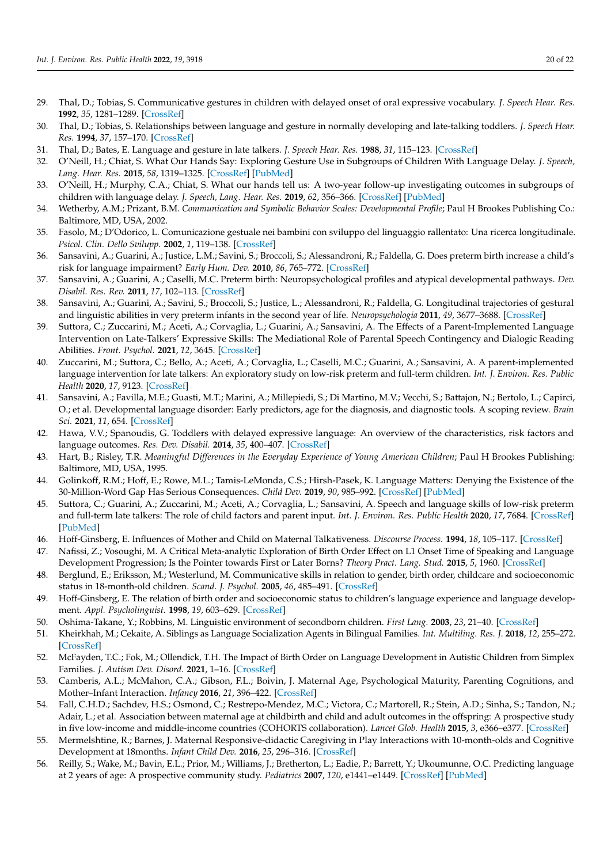- <span id="page-19-3"></span>29. Thal, D.; Tobias, S. Communicative gestures in children with delayed onset of oral expressive vocabulary. *J. Speech Hear. Res.* **1992**, *35*, 1281–1289. [\[CrossRef\]](http://doi.org/10.1044/jshr.3506.1289)
- <span id="page-19-4"></span>30. Thal, D.; Tobias, S. Relationships between language and gesture in normally developing and late-talking toddlers. *J. Speech Hear. Res.* **1994**, *37*, 157–170. [\[CrossRef\]](http://doi.org/10.1044/jshr.3701.157)
- <span id="page-19-0"></span>31. Thal, D.; Bates, E. Language and gesture in late talkers. *J. Speech Hear. Res.* **1988**, *31*, 115–123. [\[CrossRef\]](http://doi.org/10.1044/jshr.3101.115)
- <span id="page-19-1"></span>32. O'Neill, H.; Chiat, S. What Our Hands Say: Exploring Gesture Use in Subgroups of Children With Language Delay. *J. Speech, Lang. Hear. Res.* **2015**, *58*, 1319–1325. [\[CrossRef\]](http://doi.org/10.1044/2015_JSLHR-L-14-0187) [\[PubMed\]](http://www.ncbi.nlm.nih.gov/pubmed/26049119)
- <span id="page-19-2"></span>33. O'Neill, H.; Murphy, C.A.; Chiat, S. What our hands tell us: A two-year follow-up investigating outcomes in subgroups of children with language delay. *J. Speech, Lang. Hear. Res.* **2019**, *62*, 356–366. [\[CrossRef\]](http://doi.org/10.1044/2018_JSLHR-L-17-0261) [\[PubMed\]](http://www.ncbi.nlm.nih.gov/pubmed/30950692)
- <span id="page-19-5"></span>34. Wetherby, A.M.; Prizant, B.M. *Communication and Symbolic Behavior Scales: Developmental Profile*; Paul H Brookes Publishing Co.: Baltimore, MD, USA, 2002.
- <span id="page-19-6"></span>35. Fasolo, M.; D'Odorico, L. Comunicazione gestuale nei bambini con sviluppo del linguaggio rallentato: Una ricerca longitudinale. *Psicol. Clin. Dello Svilupp.* **2002**, *1*, 119–138. [\[CrossRef\]](http://doi.org/10.1449/1184)
- <span id="page-19-7"></span>36. Sansavini, A.; Guarini, A.; Justice, L.M.; Savini, S.; Broccoli, S.; Alessandroni, R.; Faldella, G. Does preterm birth increase a child's risk for language impairment? *Early Hum. Dev.* **2010**, *86*, 765–772. [\[CrossRef\]](http://doi.org/10.1016/j.earlhumdev.2010.08.014)
- 37. Sansavini, A.; Guarini, A.; Caselli, M.C. Preterm birth: Neuropsychological profiles and atypical developmental pathways. *Dev. Disabil. Res. Rev.* **2011**, *17*, 102–113. [\[CrossRef\]](http://doi.org/10.1002/ddrr.1105)
- <span id="page-19-19"></span>38. Sansavini, A.; Guarini, A.; Savini, S.; Broccoli, S.; Justice, L.; Alessandroni, R.; Faldella, G. Longitudinal trajectories of gestural and linguistic abilities in very preterm infants in the second year of life. *Neuropsychologia* **2011**, *49*, 3677–3688. [\[CrossRef\]](http://doi.org/10.1016/j.neuropsychologia.2011.09.023)
- 39. Suttora, C.; Zuccarini, M.; Aceti, A.; Corvaglia, L.; Guarini, A.; Sansavini, A. The Effects of a Parent-Implemented Language Intervention on Late-Talkers' Expressive Skills: The Mediational Role of Parental Speech Contingency and Dialogic Reading Abilities. *Front. Psychol.* **2021**, *12*, 3645. [\[CrossRef\]](http://doi.org/10.3389/fpsyg.2021.723366)
- 40. Zuccarini, M.; Suttora, C.; Bello, A.; Aceti, A.; Corvaglia, L.; Caselli, M.C.; Guarini, A.; Sansavini, A. A parent-implemented language intervention for late talkers: An exploratory study on low-risk preterm and full-term children. *Int. J. Environ. Res. Public Health* **2020**, *17*, 9123. [\[CrossRef\]](http://doi.org/10.3390/ijerph17239123)
- 41. Sansavini, A.; Favilla, M.E.; Guasti, M.T.; Marini, A.; Millepiedi, S.; Di Martino, M.V.; Vecchi, S.; Battajon, N.; Bertolo, L.; Capirci, O.; et al. Developmental language disorder: Early predictors, age for the diagnosis, and diagnostic tools. A scoping review. *Brain Sci.* **2021**, *11*, 654. [\[CrossRef\]](http://doi.org/10.3390/brainsci11050654)
- <span id="page-19-8"></span>42. Hawa, V.V.; Spanoudis, G. Toddlers with delayed expressive language: An overview of the characteristics, risk factors and language outcomes. *Res. Dev. Disabil.* **2014**, *35*, 400–407. [\[CrossRef\]](http://doi.org/10.1016/j.ridd.2013.10.027)
- <span id="page-19-9"></span>43. Hart, B.; Risley, T.R. *Meaningful Differences in the Everyday Experience of Young American Children*; Paul H Brookes Publishing: Baltimore, MD, USA, 1995.
- 44. Golinkoff, R.M.; Hoff, E.; Rowe, M.L.; Tamis-LeMonda, C.S.; Hirsh-Pasek, K. Language Matters: Denying the Existence of the 30-Million-Word Gap Has Serious Consequences. *Child Dev.* **2019**, *90*, 985–992. [\[CrossRef\]](http://doi.org/10.1111/cdev.13128) [\[PubMed\]](http://www.ncbi.nlm.nih.gov/pubmed/30102419)
- <span id="page-19-10"></span>45. Suttora, C.; Guarini, A.; Zuccarini, M.; Aceti, A.; Corvaglia, L.; Sansavini, A. Speech and language skills of low-risk preterm and full-term late talkers: The role of child factors and parent input. *Int. J. Environ. Res. Public Health* **2020**, *17*, 7684. [\[CrossRef\]](http://doi.org/10.3390/ijerph17207684) [\[PubMed\]](http://www.ncbi.nlm.nih.gov/pubmed/33096772)
- <span id="page-19-11"></span>46. Hoff-Ginsberg, E. Influences of Mother and Child on Maternal Talkativeness. *Discourse Process.* **1994**, *18*, 105–117. [\[CrossRef\]](http://doi.org/10.1080/01638539409544886)
- <span id="page-19-12"></span>47. Nafissi, Z.; Vosoughi, M. A Critical Meta-analytic Exploration of Birth Order Effect on L1 Onset Time of Speaking and Language Development Progression; Is the Pointer towards First or Later Borns? *Theory Pract. Lang. Stud.* **2015**, *5*, 1960. [\[CrossRef\]](http://doi.org/10.17507/tpls.0509.28)
- <span id="page-19-13"></span>48. Berglund, E.; Eriksson, M.; Westerlund, M. Communicative skills in relation to gender, birth order, childcare and socioeconomic status in 18-month-old children. *Scand. J. Psychol.* **2005**, *46*, 485–491. [\[CrossRef\]](http://doi.org/10.1111/j.1467-9450.2005.00480.x)
- <span id="page-19-14"></span>49. Hoff-Ginsberg, E. The relation of birth order and socioeconomic status to children's language experience and language development. *Appl. Psycholinguist.* **1998**, *19*, 603–629. [\[CrossRef\]](http://doi.org/10.1017/S0142716400010389)
- 50. Oshima-Takane, Y.; Robbins, M. Linguistic environment of secondborn children. *First Lang.* **2003**, *23*, 21–40. [\[CrossRef\]](http://doi.org/10.1177/0142723703023001002)
- 51. Kheirkhah, M.; Cekaite, A. Siblings as Language Socialization Agents in Bilingual Families. *Int. Multiling. Res. J.* **2018**, *12*, 255–272. [\[CrossRef\]](http://doi.org/10.1080/19313152.2016.1273738)
- <span id="page-19-15"></span>52. McFayden, T.C.; Fok, M.; Ollendick, T.H. The Impact of Birth Order on Language Development in Autistic Children from Simplex Families. *J. Autism Dev. Disord.* **2021**, 1–16. [\[CrossRef\]](http://doi.org/10.1007/s10803-021-05274-4)
- <span id="page-19-16"></span>53. Camberis, A.L.; McMahon, C.A.; Gibson, F.L.; Boivin, J. Maternal Age, Psychological Maturity, Parenting Cognitions, and Mother–Infant Interaction. *Infancy* **2016**, *21*, 396–422. [\[CrossRef\]](http://doi.org/10.1111/infa.12116)
- 54. Fall, C.H.D.; Sachdev, H.S.; Osmond, C.; Restrepo-Mendez, M.C.; Victora, C.; Martorell, R.; Stein, A.D.; Sinha, S.; Tandon, N.; Adair, L.; et al. Association between maternal age at childbirth and child and adult outcomes in the offspring: A prospective study in five low-income and middle-income countries (COHORTS collaboration). *Lancet Glob. Health* **2015**, *3*, e366–e377. [\[CrossRef\]](http://doi.org/10.1016/S2214-109X(15)00038-8)
- <span id="page-19-17"></span>55. Mermelshtine, R.; Barnes, J. Maternal Responsive-didactic Caregiving in Play Interactions with 10-month-olds and Cognitive Development at 18months. *Infant Child Dev.* **2016**, *25*, 296–316. [\[CrossRef\]](http://doi.org/10.1002/icd.1961)
- <span id="page-19-18"></span>56. Reilly, S.; Wake, M.; Bavin, E.L.; Prior, M.; Williams, J.; Bretherton, L.; Eadie, P.; Barrett, Y.; Ukoumunne, O.C. Predicting language at 2 years of age: A prospective community study. *Pediatrics* **2007**, *120*, e1441–e1449. [\[CrossRef\]](http://doi.org/10.1542/peds.2007-0045) [\[PubMed\]](http://www.ncbi.nlm.nih.gov/pubmed/18055662)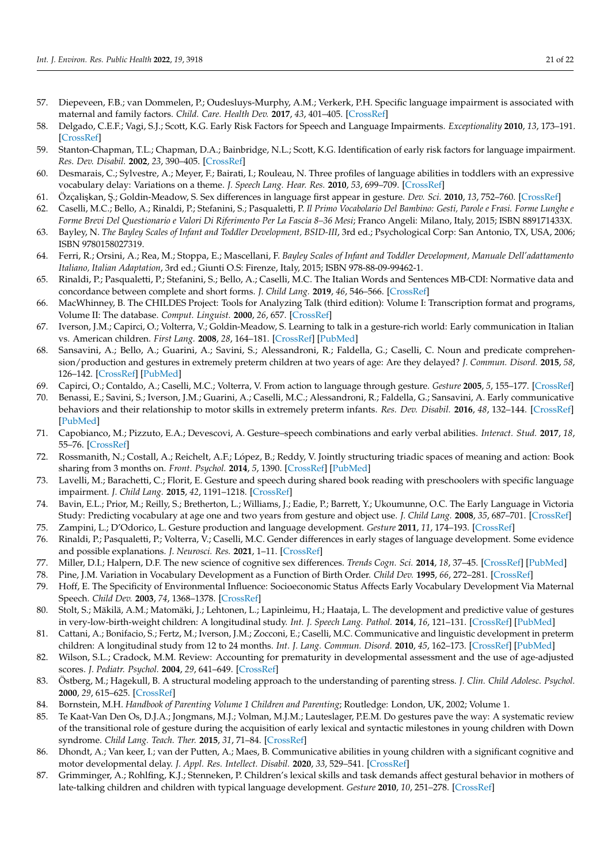- 57. Diepeveen, F.B.; van Dommelen, P.; Oudesluys-Murphy, A.M.; Verkerk, P.H. Specific language impairment is associated with maternal and family factors. *Child. Care. Health Dev.* **2017**, *43*, 401–405. [\[CrossRef\]](http://doi.org/10.1111/cch.12451)
- 58. Delgado, C.E.F.; Vagi, S.J.; Scott, K.G. Early Risk Factors for Speech and Language Impairments. *Exceptionality* **2010**, *13*, 173–191. [\[CrossRef\]](http://doi.org/10.1207/s15327035ex1303_3)
- <span id="page-20-0"></span>59. Stanton-Chapman, T.L.; Chapman, D.A.; Bainbridge, N.L.; Scott, K.G. Identification of early risk factors for language impairment. *Res. Dev. Disabil.* **2002**, *23*, 390–405. [\[CrossRef\]](http://doi.org/10.1016/S0891-4222(02)00141-5)
- <span id="page-20-1"></span>60. Desmarais, C.; Sylvestre, A.; Meyer, F.; Bairati, I.; Rouleau, N. Three profiles of language abilities in toddlers with an expressive vocabulary delay: Variations on a theme. *J. Speech Lang. Hear. Res.* **2010**, *53*, 699–709. [\[CrossRef\]](http://doi.org/10.1044/1092-4388(2009/07-0245))
- <span id="page-20-2"></span>61. Özçali¸skan, ¸S.; Goldin-Meadow, S. Sex differences in language first appear in gesture. *Dev. Sci.* **2010**, *13*, 752–760. [\[CrossRef\]](http://doi.org/10.1111/j.1467-7687.2009.00933.x)
- <span id="page-20-3"></span>62. Caselli, M.C.; Bello, A.; Rinaldi, P.; Stefanini, S.; Pasqualetti, P. *Il Primo Vocabolario Del Bambino: Gesti, Parole e Frasi. Forme Lunghe e Forme Brevi Del Questionario e Valori Di Riferimento Per La Fascia 8–36 Mesi*; Franco Angeli: Milano, Italy, 2015; ISBN 889171433X.
- <span id="page-20-4"></span>63. Bayley, N. *The Bayley Scales of Infant and Toddler Development, BSID-III*, 3rd ed.; Psychological Corp: San Antonio, TX, USA, 2006; ISBN 9780158027319.
- <span id="page-20-5"></span>64. Ferri, R.; Orsini, A.; Rea, M.; Stoppa, E.; Mascellani, F. *Bayley Scales of Infant and Toddler Development, Manuale Dell'adattamento Italiano, Italian Adaptation*, 3rd ed.; Giunti O.S: Firenze, Italy, 2015; ISBN 978-88-09-99462-1.
- <span id="page-20-6"></span>65. Rinaldi, P.; Pasqualetti, P.; Stefanini, S.; Bello, A.; Caselli, M.C. The Italian Words and Sentences MB-CDI: Normative data and concordance between complete and short forms. *J. Child Lang.* **2019**, *46*, 546–566. [\[CrossRef\]](http://doi.org/10.1017/S0305000919000011)
- <span id="page-20-7"></span>66. MacWhinney, B. The CHILDES Project: Tools for Analyzing Talk (third edition): Volume I: Transcription format and programs, Volume II: The database. *Comput. Linguist.* **2000**, *26*, 657. [\[CrossRef\]](http://doi.org/10.1162/coli.2000.26.4.657)
- <span id="page-20-8"></span>67. Iverson, J.M.; Capirci, O.; Volterra, V.; Goldin-Meadow, S. Learning to talk in a gesture-rich world: Early communication in Italian vs. American children. *First Lang.* **2008**, *28*, 164–181. [\[CrossRef\]](http://doi.org/10.1177/0142723707087736) [\[PubMed\]](http://www.ncbi.nlm.nih.gov/pubmed/19763226)
- <span id="page-20-9"></span>68. Sansavini, A.; Bello, A.; Guarini, A.; Savini, S.; Alessandroni, R.; Faldella, G.; Caselli, C. Noun and predicate comprehension/production and gestures in extremely preterm children at two years of age: Are they delayed? *J. Commun. Disord.* **2015**, *58*, 126–142. [\[CrossRef\]](http://doi.org/10.1016/j.jcomdis.2015.06.010) [\[PubMed\]](http://www.ncbi.nlm.nih.gov/pubmed/26188414)
- 69. Capirci, O.; Contaldo, A.; Caselli, M.C.; Volterra, V. From action to language through gesture. *Gesture* **2005**, *5*, 155–177. [\[CrossRef\]](http://doi.org/10.1075/gest.5.1.12cap)
- <span id="page-20-10"></span>70. Benassi, E.; Savini, S.; Iverson, J.M.; Guarini, A.; Caselli, M.C.; Alessandroni, R.; Faldella, G.; Sansavini, A. Early communicative behaviors and their relationship to motor skills in extremely preterm infants. *Res. Dev. Disabil.* **2016**, *48*, 132–144. [\[CrossRef\]](http://doi.org/10.1016/j.ridd.2015.10.017) [\[PubMed\]](http://www.ncbi.nlm.nih.gov/pubmed/26555385)
- <span id="page-20-11"></span>71. Capobianco, M.; Pizzuto, E.A.; Devescovi, A. Gesture–speech combinations and early verbal abilities. *Interact. Stud.* **2017**, *18*, 55–76. [\[CrossRef\]](http://doi.org/10.1075/is.18.1.03cap)
- <span id="page-20-12"></span>72. Rossmanith, N.; Costall, A.; Reichelt, A.F.; López, B.; Reddy, V. Jointly structuring triadic spaces of meaning and action: Book sharing from 3 months on. *Front. Psychol.* **2014**, *5*, 1390. [\[CrossRef\]](http://doi.org/10.3389/fpsyg.2014.01390) [\[PubMed\]](http://www.ncbi.nlm.nih.gov/pubmed/25540629)
- <span id="page-20-13"></span>73. Lavelli, M.; Barachetti, C.; Florit, E. Gesture and speech during shared book reading with preschoolers with specific language impairment. *J. Child Lang.* **2015**, *42*, 1191–1218. [\[CrossRef\]](http://doi.org/10.1017/S0305000914000762)
- <span id="page-20-14"></span>74. Bavin, E.L.; Prior, M.; Reilly, S.; Bretherton, L.; Williams, J.; Eadie, P.; Barrett, Y.; Ukoumunne, O.C. The Early Language in Victoria Study: Predicting vocabulary at age one and two years from gesture and object use. *J. Child Lang.* **2008**, *35*, 687–701. [\[CrossRef\]](http://doi.org/10.1017/S0305000908008726)
- <span id="page-20-15"></span>75. Zampini, L.; D'Odorico, L. Gesture production and language development. *Gesture* **2011**, *11*, 174–193. [\[CrossRef\]](http://doi.org/10.1075/gest.11.2.04zam)
- <span id="page-20-16"></span>76. Rinaldi, P.; Pasqualetti, P.; Volterra, V.; Caselli, M.C. Gender differences in early stages of language development. Some evidence and possible explanations. *J. Neurosci. Res.* **2021**, 1–11. [\[CrossRef\]](http://doi.org/10.1002/jnr.24914)
- <span id="page-20-17"></span>77. Miller, D.I.; Halpern, D.F. The new science of cognitive sex differences. *Trends Cogn. Sci.* **2014**, *18*, 37–45. [\[CrossRef\]](http://doi.org/10.1016/j.tics.2013.10.011) [\[PubMed\]](http://www.ncbi.nlm.nih.gov/pubmed/24246136)
- <span id="page-20-18"></span>78. Pine, J.M. Variation in Vocabulary Development as a Function of Birth Order. *Child Dev.* **1995**, *66*, 272–281. [\[CrossRef\]](http://doi.org/10.2307/1131205)
- <span id="page-20-19"></span>79. Hoff, E. The Specificity of Environmental Influence: Socioeconomic Status Affects Early Vocabulary Development Via Maternal Speech. *Child Dev.* **2003**, *74*, 1368–1378. [\[CrossRef\]](http://doi.org/10.1111/1467-8624.00612)
- <span id="page-20-20"></span>80. Stolt, S.; Mäkilä, A.M.; Matomäki, J.; Lehtonen, L.; Lapinleimu, H.; Haataja, L. The development and predictive value of gestures in very-low-birth-weight children: A longitudinal study. *Int. J. Speech Lang. Pathol.* **2014**, *16*, 121–131. [\[CrossRef\]](http://doi.org/10.3109/17549507.2013.794861) [\[PubMed\]](http://www.ncbi.nlm.nih.gov/pubmed/24063627)
- <span id="page-20-21"></span>81. Cattani, A.; Bonifacio, S.; Fertz, M.; Iverson, J.M.; Zocconi, E.; Caselli, M.C. Communicative and linguistic development in preterm children: A longitudinal study from 12 to 24 months. *Int. J. Lang. Commun. Disord.* **2010**, *45*, 162–173. [\[CrossRef\]](http://doi.org/10.3109/13682820902818870) [\[PubMed\]](http://www.ncbi.nlm.nih.gov/pubmed/22748029)
- <span id="page-20-22"></span>82. Wilson, S.L.; Cradock, M.M. Review: Accounting for prematurity in developmental assessment and the use of age-adjusted scores. *J. Pediatr. Psychol.* **2004**, *29*, 641–649. [\[CrossRef\]](http://doi.org/10.1093/jpepsy/jsh067)
- <span id="page-20-23"></span>83. Östberg, M.; Hagekull, B. A structural modeling approach to the understanding of parenting stress. *J. Clin. Child Adolesc. Psychol.* **2000**, *29*, 615–625. [\[CrossRef\]](http://doi.org/10.1207/S15374424JCCP2904_13)
- <span id="page-20-24"></span>84. Bornstein, M.H. *Handbook of Parenting Volume 1 Children and Parenting*; Routledge: London, UK, 2002; Volume 1.
- <span id="page-20-25"></span>85. Te Kaat-Van Den Os, D.J.A.; Jongmans, M.J.; Volman, M.J.M.; Lauteslager, P.E.M. Do gestures pave the way: A systematic review of the transitional role of gesture during the acquisition of early lexical and syntactic milestones in young children with Down syndrome. *Child Lang. Teach. Ther.* **2015**, *31*, 71–84. [\[CrossRef\]](http://doi.org/10.1177/0265659014537842)
- <span id="page-20-26"></span>86. Dhondt, A.; Van keer, I.; van der Putten, A.; Maes, B. Communicative abilities in young children with a significant cognitive and motor developmental delay. *J. Appl. Res. Intellect. Disabil.* **2020**, *33*, 529–541. [\[CrossRef\]](http://doi.org/10.1111/jar.12695)
- <span id="page-20-27"></span>87. Grimminger, A.; Rohlfing, K.J.; Stenneken, P. Children's lexical skills and task demands affect gestural behavior in mothers of late-talking children and children with typical language development. *Gesture* **2010**, *10*, 251–278. [\[CrossRef\]](http://doi.org/10.1075/gest.10.2-3.07gri)